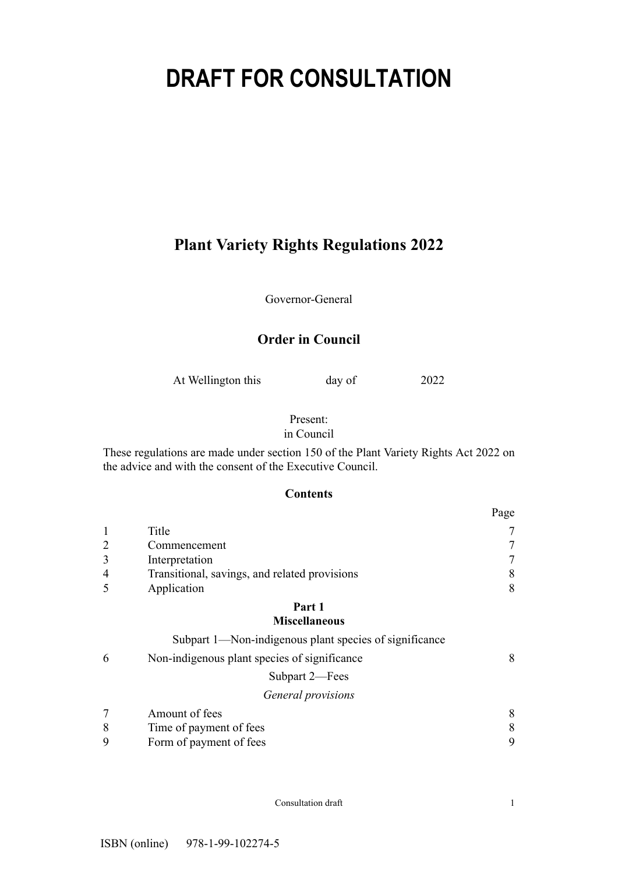# **DRAFT FOR CONSULTATION**

# **Plant Variety Rights Regulations 2022**

Governor-General

# **Order in Council**

At Wellington this day of 2022

# Present:

in Council

These regulations are made under section 150 of the Plant Variety Rights Act 2022 on the advice and with the consent of the Executive Council.

# **Contents**

|                |                                               | Page |
|----------------|-----------------------------------------------|------|
|                | Title                                         |      |
|                | Commencement                                  |      |
|                | Interpretation                                |      |
| $\overline{4}$ | Transitional, savings, and related provisions | 8    |
|                | Application                                   | 8    |
|                | Part 1                                        |      |

# **[Miscellaneous](#page-7-0)**

|   | Subpart 1—Non-indigenous plant species of significance |   |
|---|--------------------------------------------------------|---|
| 6 | Non-indigenous plant species of significance           | 8 |
|   | Subpart 2-Fees                                         |   |
|   | General provisions                                     |   |
|   | Amount of fees                                         | 8 |
| 8 | Time of payment of fees                                | 8 |
| 9 | Form of payment of fees                                | 9 |

Consultation draft 1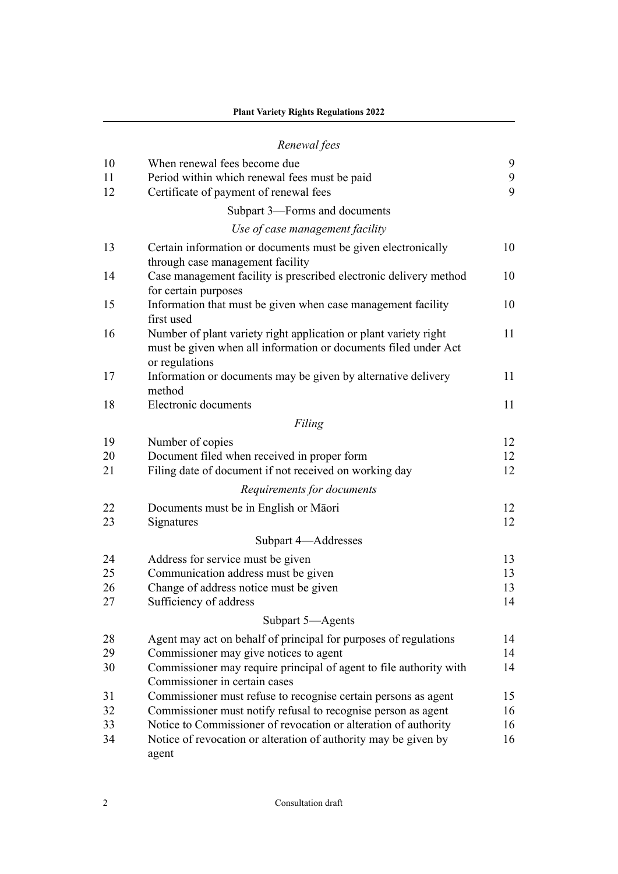|    | Renewal fees                                                                                                                                          |    |
|----|-------------------------------------------------------------------------------------------------------------------------------------------------------|----|
| 10 | When renewal fees become due                                                                                                                          | 9  |
| 11 | Period within which renewal fees must be paid                                                                                                         | 9  |
| 12 | Certificate of payment of renewal fees                                                                                                                | 9  |
|    | Subpart 3-Forms and documents                                                                                                                         |    |
|    | Use of case management facility                                                                                                                       |    |
| 13 | Certain information or documents must be given electronically<br>through case management facility                                                     | 10 |
| 14 | Case management facility is prescribed electronic delivery method<br>for certain purposes                                                             | 10 |
| 15 | Information that must be given when case management facility<br>first used                                                                            | 10 |
| 16 | Number of plant variety right application or plant variety right<br>must be given when all information or documents filed under Act<br>or regulations | 11 |
| 17 | Information or documents may be given by alternative delivery<br>method                                                                               | 11 |
| 18 | Electronic documents                                                                                                                                  | 11 |
|    | Filing                                                                                                                                                |    |
| 19 | Number of copies                                                                                                                                      | 12 |
| 20 | Document filed when received in proper form                                                                                                           | 12 |
| 21 | Filing date of document if not received on working day                                                                                                | 12 |
|    | Requirements for documents                                                                                                                            |    |
| 22 | Documents must be in English or Māori                                                                                                                 | 12 |
| 23 | Signatures                                                                                                                                            | 12 |
|    | Subpart 4-Addresses                                                                                                                                   |    |
| 24 | Address for service must be given                                                                                                                     | 13 |
| 25 | Communication address must be given                                                                                                                   | 13 |
| 26 | Change of address notice must be given                                                                                                                | 13 |
| 27 | Sufficiency of address                                                                                                                                | 14 |
|    | Subpart 5-Agents                                                                                                                                      |    |
| 28 | Agent may act on behalf of principal for purposes of regulations                                                                                      | 14 |
| 29 | Commissioner may give notices to agent                                                                                                                | 14 |
| 30 | Commissioner may require principal of agent to file authority with<br>Commissioner in certain cases                                                   | 14 |
| 31 | Commissioner must refuse to recognise certain persons as agent                                                                                        | 15 |
| 32 | Commissioner must notify refusal to recognise person as agent                                                                                         | 16 |
| 33 | Notice to Commissioner of revocation or alteration of authority                                                                                       | 16 |
| 34 | Notice of revocation or alteration of authority may be given by<br>agent                                                                              | 16 |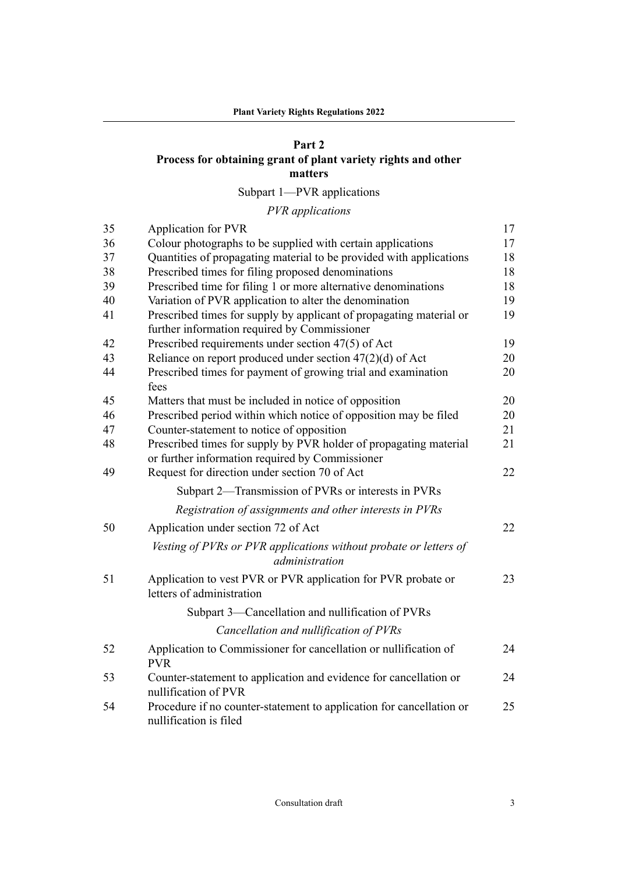# **[Part 2](#page-16-0)**

# **[Process for obtaining grant of plant variety rights and other](#page-16-0) [matters](#page-16-0)**

[Subpart 1—PVR applications](#page-16-0)

|  | PVR applications |  |
|--|------------------|--|
|--|------------------|--|

| 35 | Application for PVR                                                                                                  | 17 |
|----|----------------------------------------------------------------------------------------------------------------------|----|
| 36 | Colour photographs to be supplied with certain applications                                                          | 17 |
| 37 | Quantities of propagating material to be provided with applications                                                  | 18 |
| 38 | Prescribed times for filing proposed denominations                                                                   | 18 |
| 39 | Prescribed time for filing 1 or more alternative denominations                                                       | 18 |
| 40 | Variation of PVR application to alter the denomination                                                               | 19 |
| 41 | Prescribed times for supply by applicant of propagating material or<br>further information required by Commissioner  | 19 |
| 42 | Prescribed requirements under section 47(5) of Act                                                                   | 19 |
| 43 | Reliance on report produced under section $47(2)(d)$ of Act                                                          | 20 |
| 44 | Prescribed times for payment of growing trial and examination<br>fees                                                | 20 |
| 45 | Matters that must be included in notice of opposition                                                                | 20 |
| 46 | Prescribed period within which notice of opposition may be filed                                                     | 20 |
| 47 | Counter-statement to notice of opposition                                                                            | 21 |
| 48 | Prescribed times for supply by PVR holder of propagating material<br>or further information required by Commissioner | 21 |
| 49 | Request for direction under section 70 of Act                                                                        | 22 |
|    | Subpart 2—Transmission of PVRs or interests in PVRs                                                                  |    |
|    | Registration of assignments and other interests in PVRs                                                              |    |
| 50 | Application under section 72 of Act                                                                                  | 22 |
|    | Vesting of PVRs or PVR applications without probate or letters of<br>administration                                  |    |
| 51 | Application to vest PVR or PVR application for PVR probate or<br>letters of administration                           | 23 |
|    | Subpart 3-Cancellation and nullification of PVRs                                                                     |    |
|    | Cancellation and nullification of PVRs                                                                               |    |
| 52 | Application to Commissioner for cancellation or nullification of<br><b>PVR</b>                                       | 24 |
| 53 | Counter-statement to application and evidence for cancellation or<br>nullification of PVR                            | 24 |
| 54 | Procedure if no counter-statement to application for cancellation or<br>nullification is filed                       | 25 |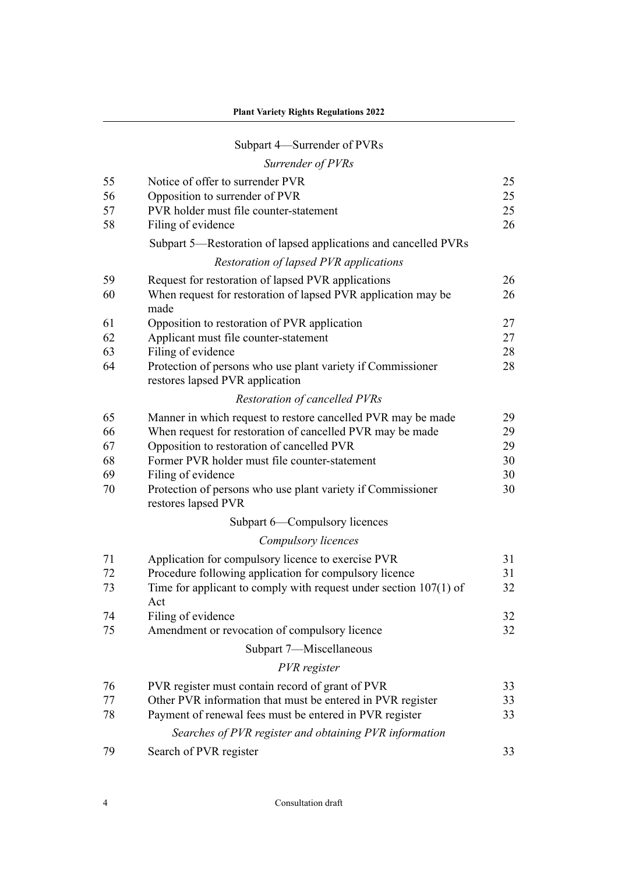# [Subpart 4—Surrender of PVRs](#page-24-0)

# *[Surrender of PVRs](#page-24-0)*

| 55 | Notice of offer to surrender PVR                                                               | 25 |
|----|------------------------------------------------------------------------------------------------|----|
| 56 | Opposition to surrender of PVR                                                                 | 25 |
| 57 | PVR holder must file counter-statement                                                         | 25 |
| 58 | Filing of evidence                                                                             | 26 |
|    | Subpart 5—Restoration of lapsed applications and cancelled PVRs                                |    |
|    | Restoration of lapsed PVR applications                                                         |    |
| 59 | Request for restoration of lapsed PVR applications                                             | 26 |
| 60 | When request for restoration of lapsed PVR application may be<br>made                          | 26 |
| 61 | Opposition to restoration of PVR application                                                   | 27 |
| 62 | Applicant must file counter-statement                                                          | 27 |
| 63 | Filing of evidence                                                                             | 28 |
| 64 | Protection of persons who use plant variety if Commissioner<br>restores lapsed PVR application | 28 |
|    | <b>Restoration of cancelled PVRs</b>                                                           |    |
| 65 | Manner in which request to restore cancelled PVR may be made                                   | 29 |
| 66 | When request for restoration of cancelled PVR may be made                                      | 29 |
| 67 | Opposition to restoration of cancelled PVR                                                     | 29 |
| 68 | Former PVR holder must file counter-statement                                                  | 30 |
| 69 | Filing of evidence                                                                             | 30 |
| 70 | Protection of persons who use plant variety if Commissioner<br>restores lapsed PVR             | 30 |
|    | Subpart 6—Compulsory licences                                                                  |    |
|    | Compulsory licences                                                                            |    |
| 71 | Application for compulsory licence to exercise PVR                                             | 31 |
| 72 | Procedure following application for compulsory licence                                         | 31 |
| 73 | Time for applicant to comply with request under section $107(1)$ of                            | 32 |
|    | Act                                                                                            |    |
| 74 | Filing of evidence                                                                             | 32 |
| 75 | Amendment or revocation of compulsory licence                                                  | 32 |
|    | Subpart 7-Miscellaneous                                                                        |    |
|    | PVR register                                                                                   |    |
| 76 | PVR register must contain record of grant of PVR                                               | 33 |
| 77 | Other PVR information that must be entered in PVR register                                     | 33 |
| 78 | Payment of renewal fees must be entered in PVR register                                        | 33 |
|    | Searches of PVR register and obtaining PVR information                                         |    |
| 79 | Search of PVR register                                                                         | 33 |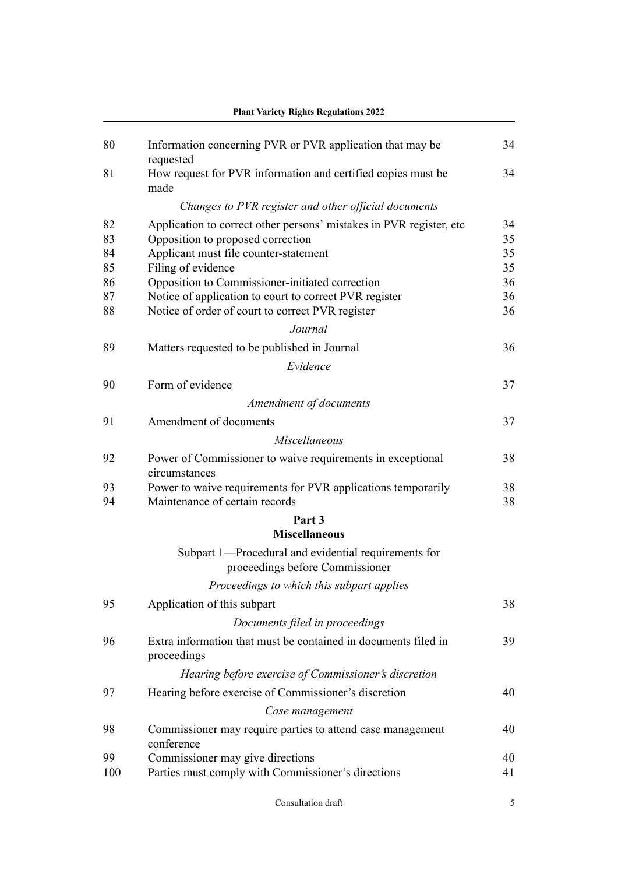| 80       | Information concerning PVR or PVR application that may be                                                  | 34       |
|----------|------------------------------------------------------------------------------------------------------------|----------|
| 81       | requested<br>How request for PVR information and certified copies must be<br>made                          | 34       |
|          | Changes to PVR register and other official documents                                                       |          |
| 82       | Application to correct other persons' mistakes in PVR register, etc.                                       | 34       |
| 83       | Opposition to proposed correction                                                                          | 35       |
| 84       | Applicant must file counter-statement                                                                      | 35       |
| 85       | Filing of evidence                                                                                         | 35       |
| 86       | Opposition to Commissioner-initiated correction                                                            | 36       |
| 87<br>88 | Notice of application to court to correct PVR register<br>Notice of order of court to correct PVR register | 36<br>36 |
|          | Journal                                                                                                    |          |
|          |                                                                                                            |          |
| 89       | Matters requested to be published in Journal                                                               | 36       |
|          | Evidence                                                                                                   |          |
| 90       | Form of evidence                                                                                           | 37       |
|          | Amendment of documents                                                                                     |          |
| 91       | Amendment of documents                                                                                     | 37       |
|          | Miscellaneous                                                                                              |          |
| 92       | Power of Commissioner to waive requirements in exceptional<br>circumstances                                | 38       |
| 93<br>94 | Power to waive requirements for PVR applications temporarily<br>Maintenance of certain records             | 38<br>38 |
|          | Part 3                                                                                                     |          |
|          | <b>Miscellaneous</b>                                                                                       |          |
|          | Subpart 1-Procedural and evidential requirements for<br>proceedings before Commissioner                    |          |
|          | Proceedings to which this subpart applies                                                                  |          |
| 95       | Application of this subpart                                                                                | 38       |
|          | Documents filed in proceedings                                                                             |          |
| 96       | Extra information that must be contained in documents filed in<br>proceedings                              | 39       |
|          | Hearing before exercise of Commissioner's discretion                                                       |          |
| 97       | Hearing before exercise of Commissioner's discretion                                                       | 40       |
|          | Case management                                                                                            |          |
| 98       | Commissioner may require parties to attend case management<br>conference                                   | 40       |
| 99       | Commissioner may give directions                                                                           | 40       |
| 100      | Parties must comply with Commissioner's directions                                                         | 41       |
|          |                                                                                                            |          |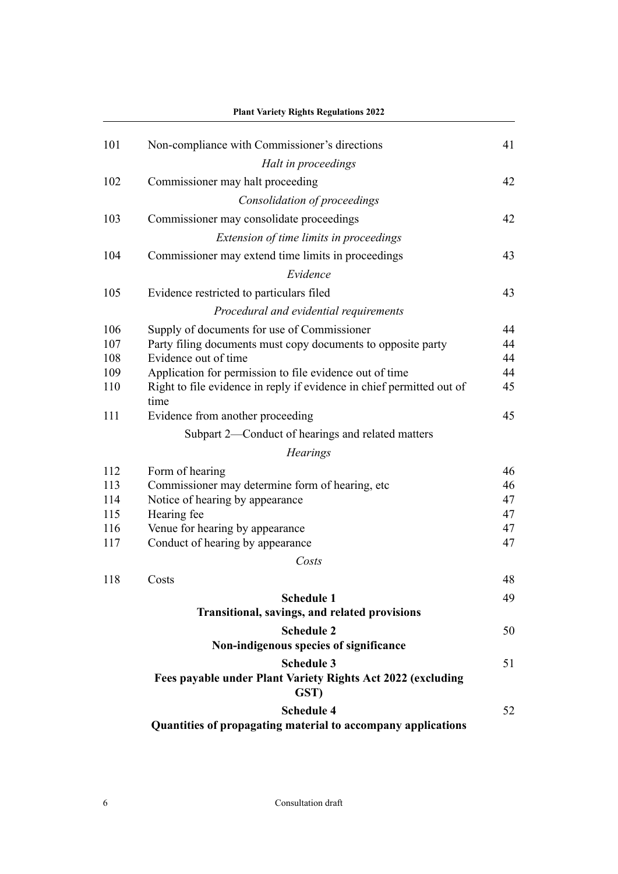|     | <b>Plant Variety Rights Regulations 2022</b>                                  |          |
|-----|-------------------------------------------------------------------------------|----------|
| 101 | Non-compliance with Commissioner's directions                                 | 41       |
|     | Halt in proceedings                                                           |          |
| 102 | Commissioner may halt proceeding                                              | 42       |
|     | Consolidation of proceedings                                                  |          |
| 103 | Commissioner may consolidate proceedings                                      | 42       |
|     | Extension of time limits in proceedings                                       |          |
| 104 | Commissioner may extend time limits in proceedings                            | 43       |
|     | Evidence                                                                      |          |
|     |                                                                               |          |
| 105 | Evidence restricted to particulars filed                                      | 43       |
|     | Procedural and evidential requirements                                        |          |
| 106 | Supply of documents for use of Commissioner                                   | 44       |
| 107 | Party filing documents must copy documents to opposite party                  | 44       |
| 108 | Evidence out of time                                                          | 44       |
| 109 | Application for permission to file evidence out of time                       | 44       |
| 110 | Right to file evidence in reply if evidence in chief permitted out of<br>time | 45       |
| 111 | Evidence from another proceeding                                              | 45       |
|     | Subpart 2—Conduct of hearings and related matters                             |          |
|     |                                                                               |          |
|     | <b>Hearings</b>                                                               |          |
| 112 | Form of hearing                                                               | 46       |
| 113 | Commissioner may determine form of hearing, etc                               | 46       |
| 114 | Notice of hearing by appearance                                               | 47       |
| 115 | Hearing fee                                                                   | 47       |
| 116 | Venue for hearing by appearance                                               | 47<br>47 |
| 117 | Conduct of hearing by appearance                                              |          |
|     | Costs                                                                         |          |
| 118 | Costs                                                                         | 48       |
|     | <b>Schedule 1</b>                                                             | 49       |
|     | Transitional, savings, and related provisions                                 |          |
|     | <b>Schedule 2</b>                                                             | 50       |
|     | Non-indigenous species of significance                                        |          |
|     | <b>Schedule 3</b>                                                             | 51       |
|     | Fees payable under Plant Variety Rights Act 2022 (excluding<br>GST)           |          |
|     | <b>Schedule 4</b>                                                             | 52       |
|     | Quantities of propagating material to accompany applications                  |          |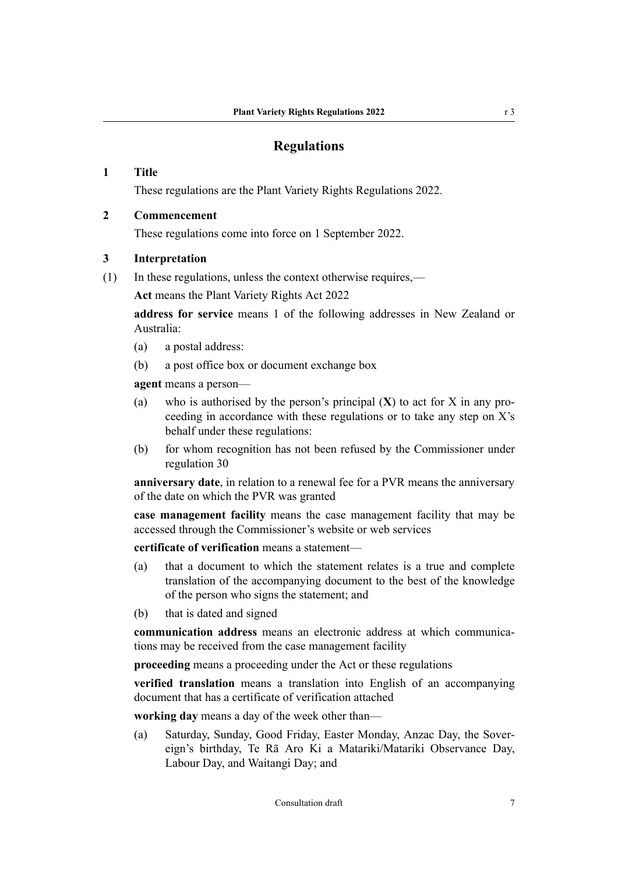# **Regulations**

#### <span id="page-6-0"></span>**1 Title**

These regulations are the Plant Variety Rights Regulations 2022.

#### **2 Commencement**

These regulations come into force on 1 September 2022.

#### **3 Interpretation**

(1) In these regulations, unless the context otherwise requires,—

**Act** means the Plant Variety Rights Act 2022

**address for service** means 1 of the following addresses in New Zealand or Australia:

- (a) a postal address:
- (b) a post office box or document exchange box

**agent** means a person—

- (a) who is authorised by the person's principal  $(X)$  to act for X in any proceeding in accordance with these regulations or to take any step on X's behalf under these regulations:
- (b) for whom recognition has not been refused by the Commissioner under regulation 30

**anniversary date**, in relation to a renewal fee for a PVR means the anniversary of the date on which the PVR was granted

**case management facility** means the case management facility that may be accessed through the Commissioner's website or web services

**certificate of verification** means a statement—

- (a) that a document to which the statement relates is a true and complete translation of the accompanying document to the best of the knowledge of the person who signs the statement; and
- (b) that is dated and signed

**communication address** means an electronic address at which communica‐ tions may be received from the case management facility

**proceeding** means a proceeding under the Act or these regulations

**verified translation** means a translation into English of an accompanying document that has a certificate of verification attached

**working day** means a day of the week other than—

(a) Saturday, Sunday, Good Friday, Easter Monday, Anzac Day, the Sover‐ eign's birthday, Te Rā Aro Ki a Matariki/Matariki Observance Day, Labour Day, and Waitangi Day; and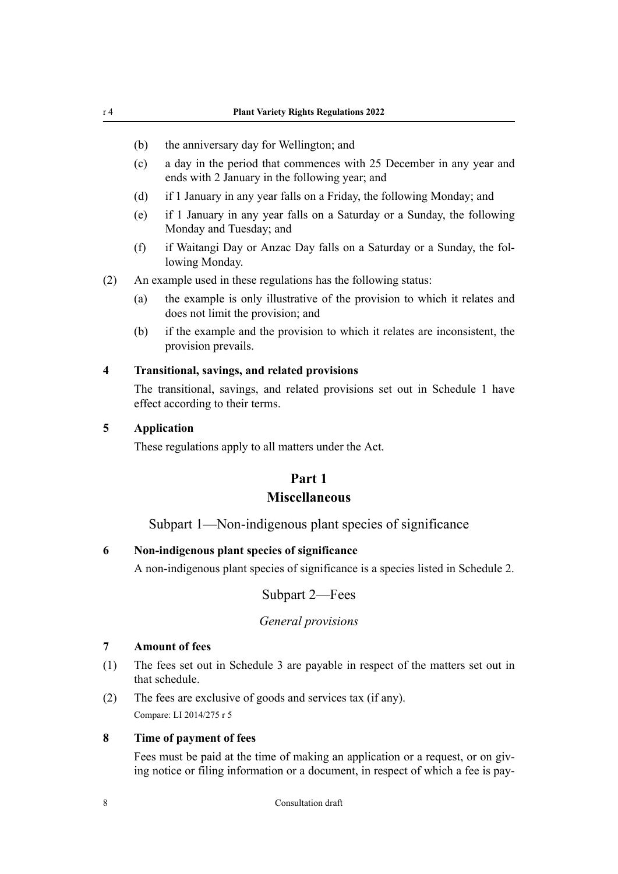- <span id="page-7-0"></span>(b) the anniversary day for Wellington; and
- (c) a day in the period that commences with 25 December in any year and ends with 2 January in the following year; and
- (d) if 1 January in any year falls on a Friday, the following Monday; and
- (e) if 1 January in any year falls on a Saturday or a Sunday, the following Monday and Tuesday; and
- (f) if Waitangi Day or Anzac Day falls on a Saturday or a Sunday, the fol‐ lowing Monday.
- (2) An example used in these regulations has the following status:
	- (a) the example is only illustrative of the provision to which it relates and does not limit the provision; and
	- (b) if the example and the provision to which it relates are inconsistent, the provision prevails.

#### **4 Transitional, savings, and related provisions**

The transitional, savings, and related provisions set out in Schedule 1 have effect according to their terms.

#### **5 Application**

These regulations apply to all matters under the Act.

# **Part 1 Miscellaneous**

#### Subpart 1—Non-indigenous plant species of significance

#### **6 Non-indigenous plant species of significance**

A non-indigenous plant species of significance is a species listed in Schedule 2.

Subpart 2—Fees

#### *General provisions*

# **7 Amount of fees**

- (1) The fees set out in Schedule 3 are payable in respect of the matters set out in that schedule.
- (2) The fees are exclusive of goods and services tax (if any). Compare: LI 2014/275 r 5

#### **8 Time of payment of fees**

Fees must be paid at the time of making an application or a request, or on giving notice or filing information or a document, in respect of which a fee is pay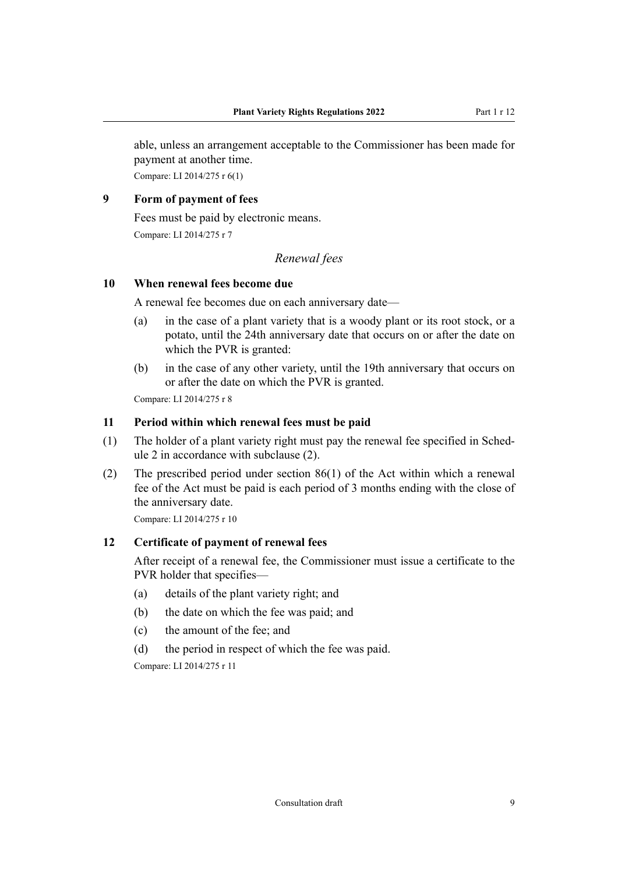<span id="page-8-0"></span>able, unless an arrangement acceptable to the Commissioner has been made for payment at another time.

Compare: LI 2014/275 r 6(1)

# **9 Form of payment of fees**

Fees must be paid by electronic means.

Compare: LI 2014/275 r 7

# *Renewal fees*

#### **10 When renewal fees become due**

A renewal fee becomes due on each anniversary date—

- (a) in the case of a plant variety that is a woody plant or its root stock, or a potato, until the 24th anniversary date that occurs on or after the date on which the PVR is granted:
- (b) in the case of any other variety, until the 19th anniversary that occurs on or after the date on which the PVR is granted.

Compare: LI 2014/275 r 8

#### **11 Period within which renewal fees must be paid**

- (1) The holder of a plant variety right must pay the renewal fee specified in Schedule 2 in accordance with subclause (2).
- (2) The prescribed period under section 86(1) of the Act within which a renewal fee of the Act must be paid is each period of 3 months ending with the close of the anniversary date.

Compare: LI 2014/275 r 10

#### **12 Certificate of payment of renewal fees**

After receipt of a renewal fee, the Commissioner must issue a certificate to the PVR holder that specifies—

- (a) details of the plant variety right; and
- (b) the date on which the fee was paid; and
- (c) the amount of the fee; and
- (d) the period in respect of which the fee was paid.

Compare: LI 2014/275 r 11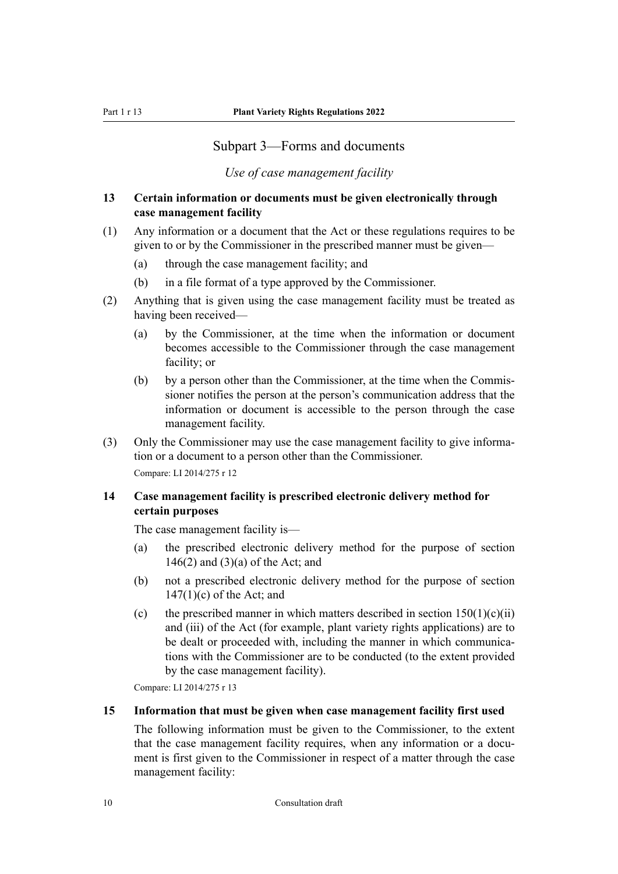# Subpart 3—Forms and documents

*Use of case management facility*

# <span id="page-9-0"></span>**13 Certain information or documents must be given electronically through case management facility**

- (1) Any information or a document that the Act or these regulations requires to be given to or by the Commissioner in the prescribed manner must be given—
	- (a) through the case management facility; and
	- (b) in a file format of a type approved by the Commissioner.
- (2) Anything that is given using the case management facility must be treated as having been received—
	- (a) by the Commissioner, at the time when the information or document becomes accessible to the Commissioner through the case management facility; or
	- (b) by a person other than the Commissioner, at the time when the Commissioner notifies the person at the person's communication address that the information or document is accessible to the person through the case management facility.
- (3) Only the Commissioner may use the case management facility to give information or a document to a person other than the Commissioner.

Compare: LI 2014/275 r 12

### **14 Case management facility is prescribed electronic delivery method for certain purposes**

The case management facility is—

- (a) the prescribed electronic delivery method for the purpose of section  $146(2)$  and  $(3)(a)$  of the Act; and
- (b) not a prescribed electronic delivery method for the purpose of section 147(1)(c) of the Act; and
- (c) the prescribed manner in which matters described in section  $150(1)(c)(ii)$ and (iii) of the Act (for example, plant variety rights applications) are to be dealt or proceeded with, including the manner in which communications with the Commissioner are to be conducted (to the extent provided by the case management facility).

Compare: LI 2014/275 r 13

#### **15 Information that must be given when case management facility first used**

The following information must be given to the Commissioner, to the extent that the case management facility requires, when any information or a document is first given to the Commissioner in respect of a matter through the case management facility: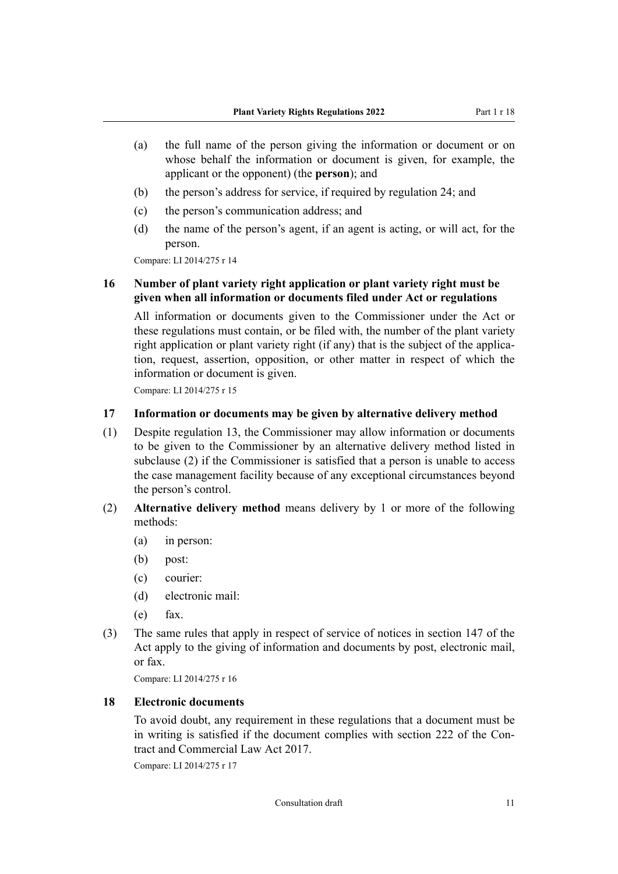- <span id="page-10-0"></span>(a) the full name of the person giving the information or document or on whose behalf the information or document is given, for example, the applicant or the opponent) (the **person**); and
- (b) the person's address for service, if required by regulation 24; and
- (c) the person's communication address; and
- (d) the name of the person's agent, if an agent is acting, or will act, for the person.

# **16 Number of plant variety right application or plant variety right must be given when all information or documents filed under Act or regulations**

All information or documents given to the Commissioner under the Act or these regulations must contain, or be filed with, the number of the plant variety right application or plant variety right (if any) that is the subject of the application, request, assertion, opposition, or other matter in respect of which the information or document is given.

Compare: LI 2014/275 r 15

#### **17 Information or documents may be given by alternative delivery method**

- (1) Despite regulation 13, the Commissioner may allow information or documents to be given to the Commissioner by an alternative delivery method listed in subclause (2) if the Commissioner is satisfied that a person is unable to access the case management facility because of any exceptional circumstances beyond the person's control.
- (2) **Alternative delivery method** means delivery by 1 or more of the following methods:
	- (a) in person:
	- (b) post:
	- (c) courier:
	- (d) electronic mail:
	- (e) fax.
- (3) The same rules that apply in respect of service of notices in section 147 of the Act apply to the giving of information and documents by post, electronic mail, or fax.

Compare: LI 2014/275 r 16

#### **18 Electronic documents**

To avoid doubt, any requirement in these regulations that a document must be in writing is satisfied if the document complies with [section 222](http://legislation.govt.nz/pdflink.aspx?id=DLM6844469) of the Contract and Commercial Law Act 2017.

Compare: LI 2014/275 r 17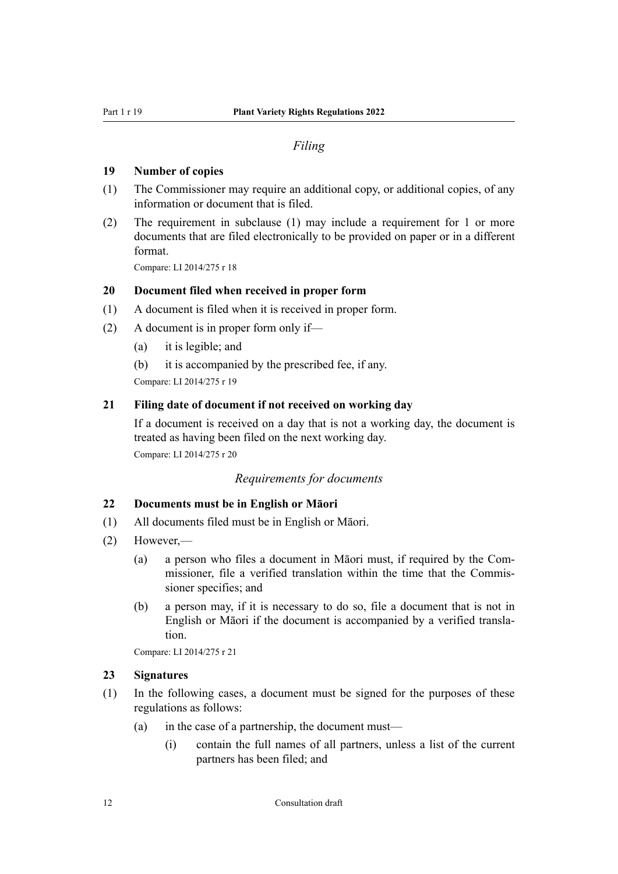#### *Filing*

#### <span id="page-11-0"></span>**19 Number of copies**

- (1) The Commissioner may require an additional copy, or additional copies, of any information or document that is filed.
- (2) The requirement in subclause (1) may include a requirement for 1 or more documents that are filed electronically to be provided on paper or in a different format.

Compare: LI 2014/275 r 18

#### **20 Document filed when received in proper form**

- (1) A document is filed when it is received in proper form.
- (2) A document is in proper form only if—
	- (a) it is legible; and
	- (b) it is accompanied by the prescribed fee, if any.

Compare: LI 2014/275 r 19

#### **21 Filing date of document if not received on working day**

If a document is received on a day that is not a working day, the document is treated as having been filed on the next working day. Compare: LI 2014/275 r 20

#### *Requirements for documents*

#### **22 Documents must be in English or Māori**

- (1) All documents filed must be in English or Māori.
- (2) However,—
	- (a) a person who files a document in Māori must, if required by the Com‐ missioner, file a verified translation within the time that the Commis‐ sioner specifies; and
	- (b) a person may, if it is necessary to do so, file a document that is not in English or Māori if the document is accompanied by a verified transla‐ tion.

Compare: LI 2014/275 r 21

#### **23 Signatures**

- (1) In the following cases, a document must be signed for the purposes of these regulations as follows:
	- (a) in the case of a partnership, the document must—
		- (i) contain the full names of all partners, unless a list of the current partners has been filed; and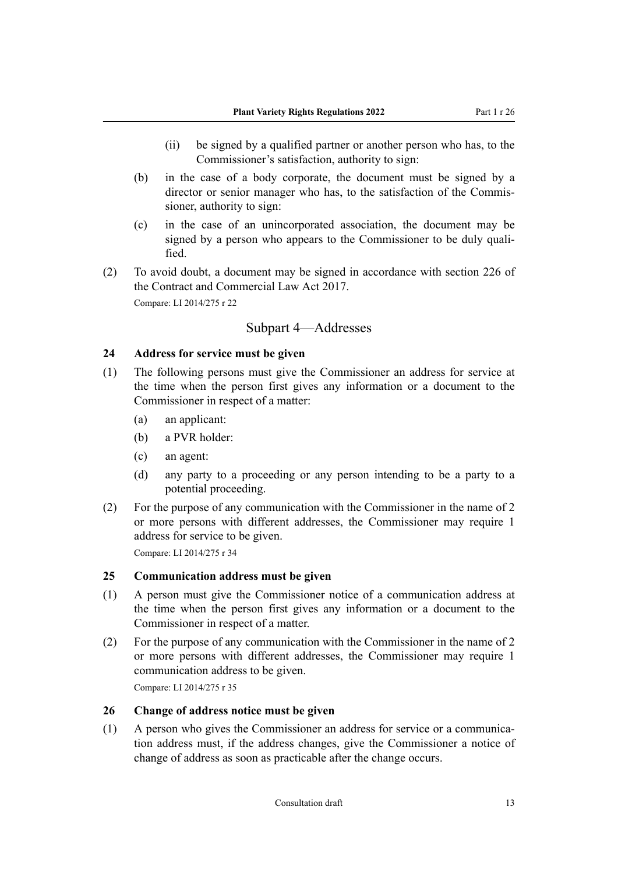- <span id="page-12-0"></span>(ii) be signed by a qualified partner or another person who has, to the Commissioner's satisfaction, authority to sign:
- (b) in the case of a body corporate, the document must be signed by a director or senior manager who has, to the satisfaction of the Commissioner, authority to sign:
- (c) in the case of an unincorporated association, the document may be signed by a person who appears to the Commissioner to be duly quali‐ fied.
- (2) To avoid doubt, a document may be signed in accordance with section 226 of the Contract and Commercial Law Act 2017.

# Subpart 4—Addresses

#### **24 Address for service must be given**

- (1) The following persons must give the Commissioner an address for service at the time when the person first gives any information or a document to the Commissioner in respect of a matter:
	- (a) an applicant:
	- (b) a PVR holder:
	- (c) an agent:
	- (d) any party to a proceeding or any person intending to be a party to a potential proceeding.
- (2) For the purpose of any communication with the Commissioner in the name of 2 or more persons with different addresses, the Commissioner may require 1 address for service to be given.

Compare: LI 2014/275 r 34

#### **25 Communication address must be given**

- (1) A person must give the Commissioner notice of a communication address at the time when the person first gives any information or a document to the Commissioner in respect of a matter.
- (2) For the purpose of any communication with the Commissioner in the name of 2 or more persons with different addresses, the Commissioner may require 1 communication address to be given.

Compare: LI 2014/275 r 35

#### **26 Change of address notice must be given**

(1) A person who gives the Commissioner an address for service or a communica‐ tion address must, if the address changes, give the Commissioner a notice of change of address as soon as practicable after the change occurs.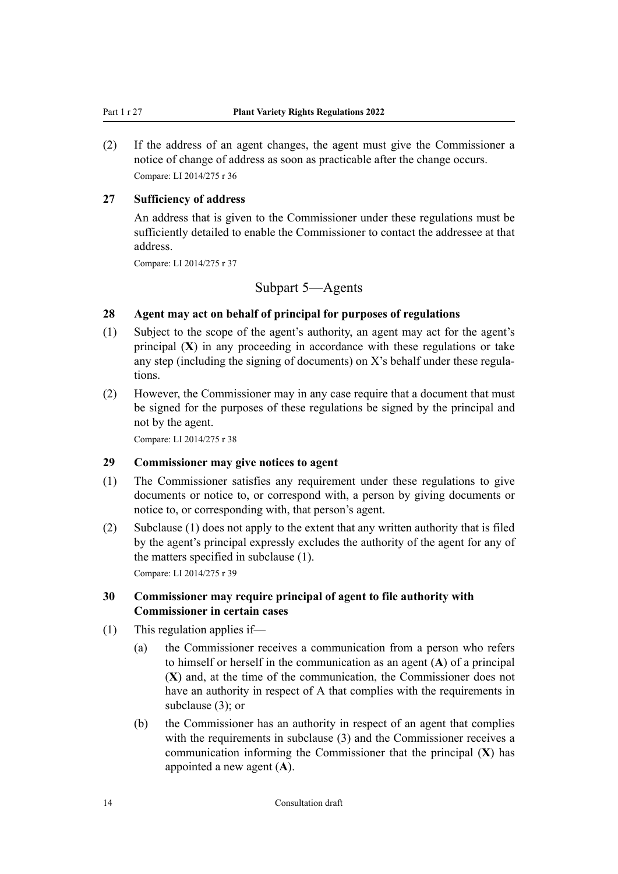<span id="page-13-0"></span>(2) If the address of an agent changes, the agent must give the Commissioner a notice of change of address as soon as practicable after the change occurs. Compare: LI 2014/275 r 36

#### **27 Sufficiency of address**

An address that is given to the Commissioner under these regulations must be sufficiently detailed to enable the Commissioner to contact the addressee at that address.

Compare: LI 2014/275 r 37

# Subpart 5—Agents

#### **28 Agent may act on behalf of principal for purposes of regulations**

- (1) Subject to the scope of the agent's authority, an agent may act for the agent's principal (**X**) in any proceeding in accordance with these regulations or take any step (including the signing of documents) on X's behalf under these regulations.
- (2) However, the Commissioner may in any case require that a document that must be signed for the purposes of these regulations be signed by the principal and not by the agent.

Compare: LI 2014/275 r 38

# **29 Commissioner may give notices to agent**

- (1) The Commissioner satisfies any requirement under these regulations to give documents or notice to, or correspond with, a person by giving documents or notice to, or corresponding with, that person's agent.
- (2) Subclause (1) does not apply to the extent that any written authority that is filed by the agent's principal expressly excludes the authority of the agent for any of the matters specified in subclause (1).

Compare: LI 2014/275 r 39

#### **30 Commissioner may require principal of agent to file authority with Commissioner in certain cases**

- (1) This regulation applies if—
	- (a) the Commissioner receives a communication from a person who refers to himself or herself in the communication as an agent (**A**) of a principal (**X**) and, at the time of the communication, the Commissioner does not have an authority in respect of A that complies with the requirements in subclause (3); or
	- (b) the Commissioner has an authority in respect of an agent that complies with the requirements in subclause (3) and the Commissioner receives a communication informing the Commissioner that the principal (**X**) has appointed a new agent (**A**).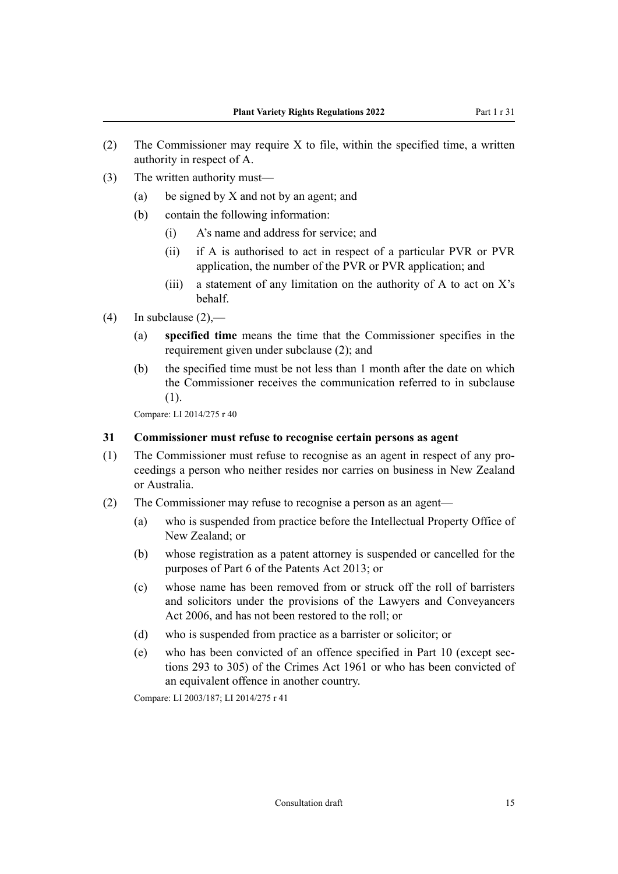- <span id="page-14-0"></span>(2) The Commissioner may require  $X$  to file, within the specified time, a written authority in respect of A.
- (3) The written authority must—
	- (a) be signed by X and not by an agent; and
	- (b) contain the following information:
		- (i) A's name and address for service; and
		- (ii) if A is authorised to act in respect of a particular PVR or PVR application, the number of the PVR or PVR application; and
		- (iii) a statement of any limitation on the authority of A to act on  $X$ 's behalf.
- (4) In subclause  $(2)$ ,—
	- (a) **specified time** means the time that the Commissioner specifies in the requirement given under subclause (2); and
	- (b) the specified time must be not less than 1 month after the date on which the Commissioner receives the communication referred to in subclause (1).

#### **31 Commissioner must refuse to recognise certain persons as agent**

- (1) The Commissioner must refuse to recognise as an agent in respect of any pro‐ ceedings a person who neither resides nor carries on business in New Zealand or Australia.
- (2) The Commissioner may refuse to recognise a person as an agent—
	- (a) who is suspended from practice before the Intellectual Property Office of New Zealand; or
	- (b) whose registration as a patent attorney is suspended or cancelled for the purposes of Part 6 of the Patents Act 2013; or
	- (c) whose name has been removed from or struck off the roll of barristers and solicitors under the provisions of the Lawyers and Conveyancers Act 2006, and has not been restored to the roll; or
	- (d) who is suspended from practice as a barrister or solicitor; or
	- (e) who has been convicted of an offence specified in Part 10 (except sec‐ tions 293 to 305) of the Crimes Act 1961 or who has been convicted of an equivalent offence in another country.

Compare: LI 2003/187; LI 2014/275 r 41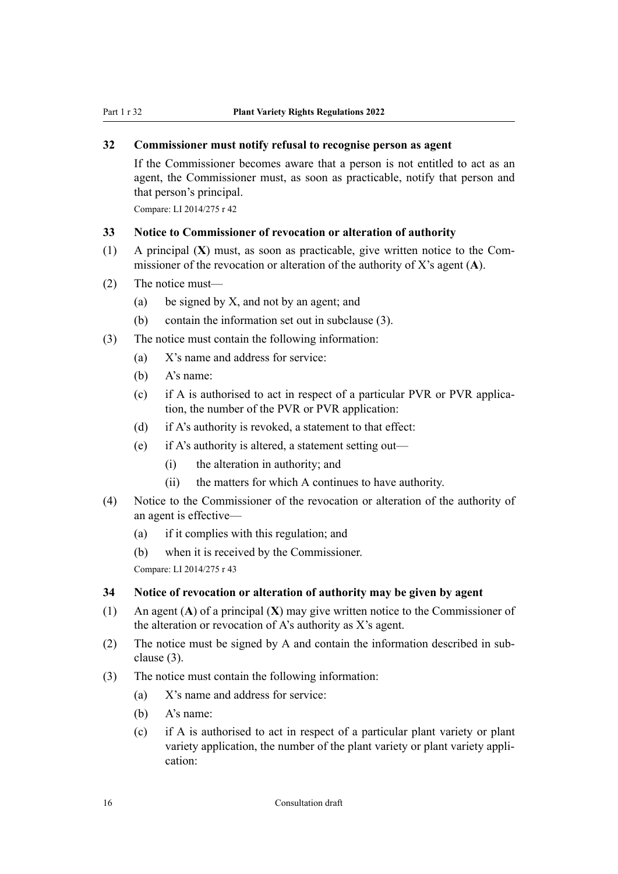# <span id="page-15-0"></span>**32 Commissioner must notify refusal to recognise person as agent**

If the Commissioner becomes aware that a person is not entitled to act as an agent, the Commissioner must, as soon as practicable, notify that person and that person's principal.

Compare: LI 2014/275 r 42

#### **33 Notice to Commissioner of revocation or alteration of authority**

- (1) A principal  $(X)$  must, as soon as practicable, give written notice to the Commissioner of the revocation or alteration of the authority of X's agent (**A**).
- (2) The notice must—
	- (a) be signed by X, and not by an agent; and
	- (b) contain the information set out in subclause (3).
- (3) The notice must contain the following information:
	- (a) X's name and address for service:
	- (b) A's name:
	- (c) if A is authorised to act in respect of a particular PVR or PVR application, the number of the PVR or PVR application:
	- (d) if A's authority is revoked, a statement to that effect:
	- (e) if A's authority is altered, a statement setting out—
		- (i) the alteration in authority; and
		- (ii) the matters for which A continues to have authority.
- (4) Notice to the Commissioner of the revocation or alteration of the authority of an agent is effective—
	- (a) if it complies with this regulation; and
	- (b) when it is received by the Commissioner.

Compare: LI 2014/275 r 43

#### **34 Notice of revocation or alteration of authority may be given by agent**

- (1) An agent (**A**) of a principal (**X**) may give written notice to the Commissioner of the alteration or revocation of A's authority as X's agent.
- (2) The notice must be signed by A and contain the information described in sub‐ clause (3).
- (3) The notice must contain the following information:
	- (a) X's name and address for service:
	- (b) A's name:
	- (c) if A is authorised to act in respect of a particular plant variety or plant variety application, the number of the plant variety or plant variety application: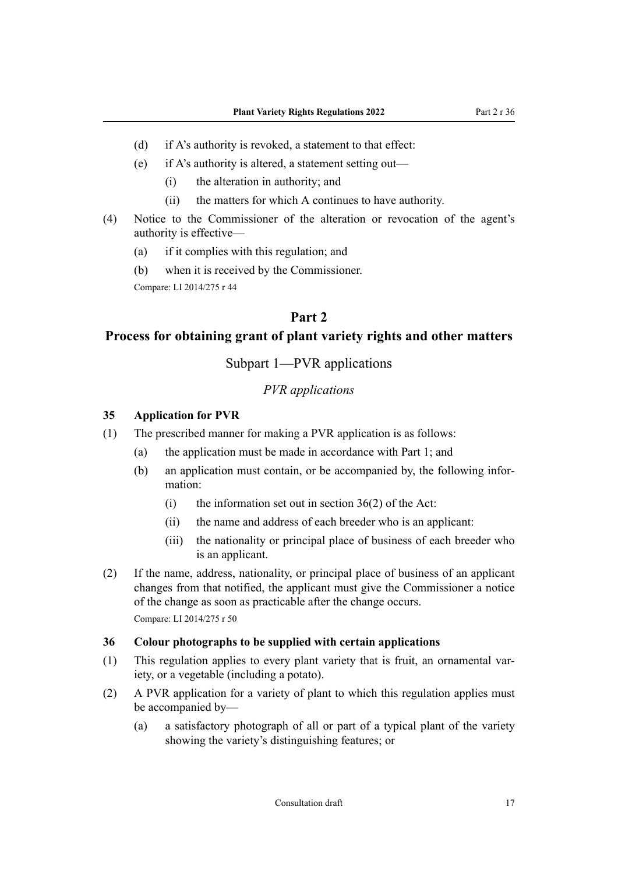- <span id="page-16-0"></span>(d) if A's authority is revoked, a statement to that effect:
- (e) if A's authority is altered, a statement setting out—
	- (i) the alteration in authority; and
	- (ii) the matters for which A continues to have authority.
- (4) Notice to the Commissioner of the alteration or revocation of the agent's authority is effective—
	- (a) if it complies with this regulation; and
	- (b) when it is received by the Commissioner.

# **Part 2**

# **Process for obtaining grant of plant variety rights and other matters**

# Subpart 1—PVR applications

#### *PVR applications*

#### **35 Application for PVR**

- (1) The prescribed manner for making a PVR application is as follows:
	- (a) the application must be made in accordance with Part 1; and
	- (b) an application must contain, or be accompanied by, the following infor‐ mation:
		- (i) the information set out in section  $36(2)$  of the Act:
		- (ii) the name and address of each breeder who is an applicant:
		- (iii) the nationality or principal place of business of each breeder who is an applicant.
- (2) If the name, address, nationality, or principal place of business of an applicant changes from that notified, the applicant must give the Commissioner a notice of the change as soon as practicable after the change occurs. Compare: LI 2014/275 r 50

#### **36 Colour photographs to be supplied with certain applications**

- (1) This regulation applies to every plant variety that is fruit, an ornamental var‐ iety, or a vegetable (including a potato).
- (2) A PVR application for a variety of plant to which this regulation applies must be accompanied by—
	- (a) a satisfactory photograph of all or part of a typical plant of the variety showing the variety's distinguishing features; or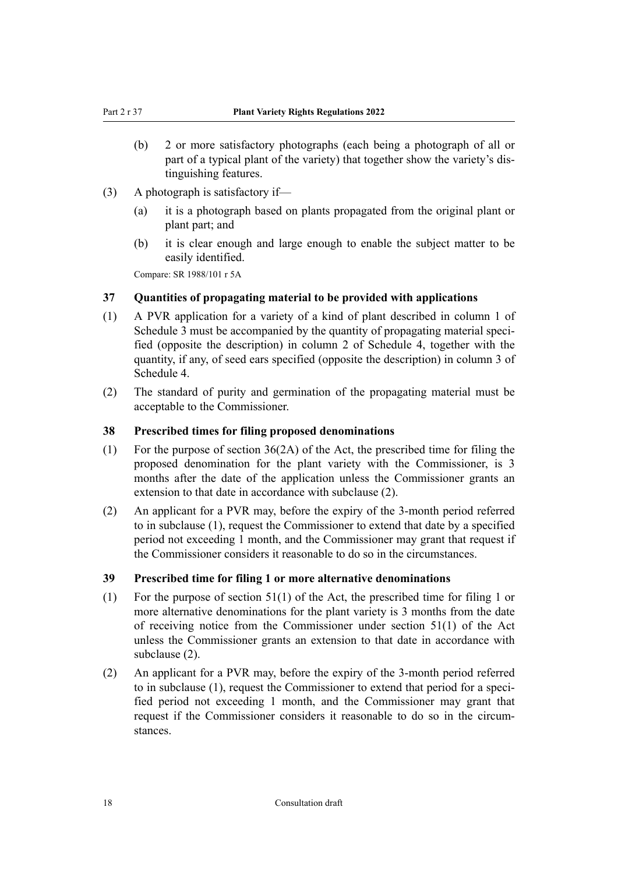- <span id="page-17-0"></span>(b) 2 or more satisfactory photographs (each being a photograph of all or part of a typical plant of the variety) that together show the variety's dis‐ tinguishing features.
- (3) A photograph is satisfactory if—
	- (a) it is a photograph based on plants propagated from the original plant or plant part; and
	- (b) it is clear enough and large enough to enable the subject matter to be easily identified.

Compare: SR 1988/101 r 5A

#### **37 Quantities of propagating material to be provided with applications**

- (1) A PVR application for a variety of a kind of plant described in column 1 of Schedule 3 must be accompanied by the quantity of propagating material specified (opposite the description) in column 2 of Schedule 4, together with the quantity, if any, of seed ears specified (opposite the description) in column 3 of Schedule 4.
- (2) The standard of purity and germination of the propagating material must be acceptable to the Commissioner.

#### **38 Prescribed times for filing proposed denominations**

- (1) For the purpose of section  $36(2A)$  of the Act, the prescribed time for filing the proposed denomination for the plant variety with the Commissioner, is 3 months after the date of the application unless the Commissioner grants an extension to that date in accordance with subclause (2).
- (2) An applicant for a PVR may, before the expiry of the 3-month period referred to in subclause (1), request the Commissioner to extend that date by a specified period not exceeding 1 month, and the Commissioner may grant that request if the Commissioner considers it reasonable to do so in the circumstances.

#### **39 Prescribed time for filing 1 or more alternative denominations**

- (1) For the purpose of section 51(1) of the Act, the prescribed time for filing 1 or more alternative denominations for the plant variety is 3 months from the date of receiving notice from the Commissioner under section 51(1) of the Act unless the Commissioner grants an extension to that date in accordance with subclause (2).
- (2) An applicant for a PVR may, before the expiry of the 3-month period referred to in subclause (1), request the Commissioner to extend that period for a specified period not exceeding 1 month, and the Commissioner may grant that request if the Commissioner considers it reasonable to do so in the circum‐ stances.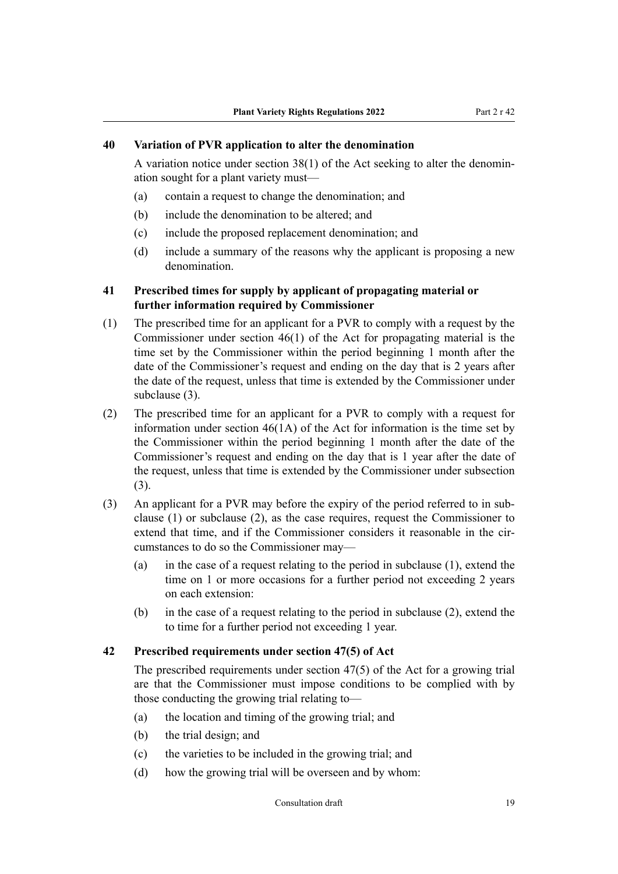#### <span id="page-18-0"></span>**40 Variation of PVR application to alter the denomination**

A variation notice under section  $38(1)$  of the Act seeking to alter the denomination sought for a plant variety must—

- (a) contain a request to change the denomination; and
- (b) include the denomination to be altered; and
- (c) include the proposed replacement denomination; and
- (d) include a summary of the reasons why the applicant is proposing a new denomination.

#### **41 Prescribed times for supply by applicant of propagating material or further information required by Commissioner**

- (1) The prescribed time for an applicant for a PVR to comply with a request by the Commissioner under section 46(1) of the Act for propagating material is the time set by the Commissioner within the period beginning 1 month after the date of the Commissioner's request and ending on the day that is 2 years after the date of the request, unless that time is extended by the Commissioner under subclause (3).
- (2) The prescribed time for an applicant for a PVR to comply with a request for information under section 46(1A) of the Act for information is the time set by the Commissioner within the period beginning 1 month after the date of the Commissioner's request and ending on the day that is 1 year after the date of the request, unless that time is extended by the Commissioner under subsection (3).
- (3) An applicant for a PVR may before the expiry of the period referred to in sub‐ clause (1) or subclause (2), as the case requires, request the Commissioner to extend that time, and if the Commissioner considers it reasonable in the circumstances to do so the Commissioner may—
	- (a) in the case of a request relating to the period in subclause (1), extend the time on 1 or more occasions for a further period not exceeding 2 years on each extension:
	- (b) in the case of a request relating to the period in subclause (2), extend the to time for a further period not exceeding 1 year.

#### **42 Prescribed requirements under section 47(5) of Act**

The prescribed requirements under section 47(5) of the Act for a growing trial are that the Commissioner must impose conditions to be complied with by those conducting the growing trial relating to—

- (a) the location and timing of the growing trial; and
- (b) the trial design; and
- (c) the varieties to be included in the growing trial; and
- (d) how the growing trial will be overseen and by whom: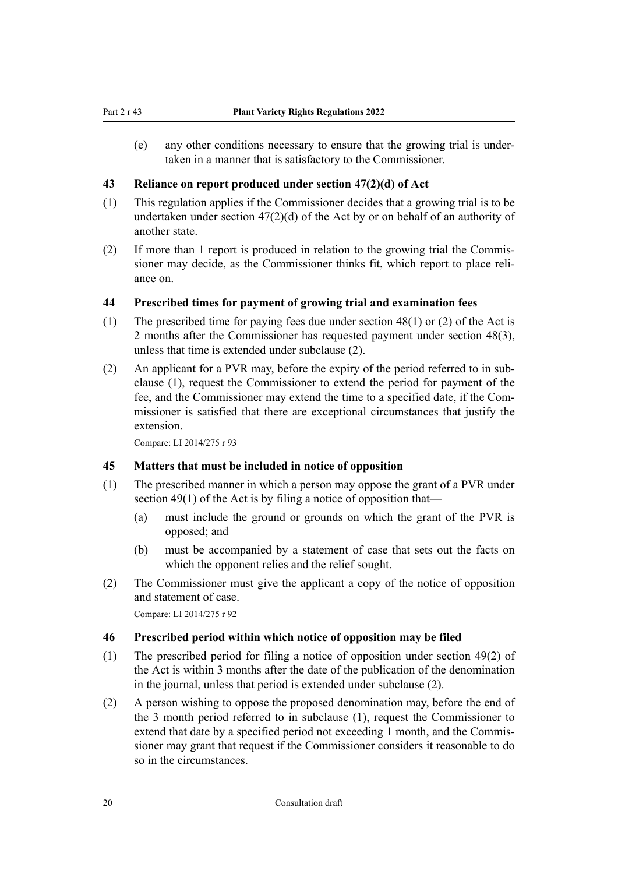<span id="page-19-0"></span>(e) any other conditions necessary to ensure that the growing trial is under‐ taken in a manner that is satisfactory to the Commissioner.

#### **43 Reliance on report produced under section 47(2)(d) of Act**

- (1) This regulation applies if the Commissioner decides that a growing trial is to be undertaken under section 47(2)(d) of the Act by or on behalf of an authority of another state.
- (2) If more than 1 report is produced in relation to the growing trial the Commis‐ sioner may decide, as the Commissioner thinks fit, which report to place reli‐ ance on.

#### **44 Prescribed times for payment of growing trial and examination fees**

- (1) The prescribed time for paying fees due under section 48(1) or (2) of the Act is 2 months after the Commissioner has requested payment under section 48(3), unless that time is extended under subclause (2).
- (2) An applicant for a PVR may, before the expiry of the period referred to in sub‐ clause (1), request the Commissioner to extend the period for payment of the fee, and the Commissioner may extend the time to a specified date, if the Com‐ missioner is satisfied that there are exceptional circumstances that justify the extension.

Compare: LI 2014/275 r 93

#### **45 Matters that must be included in notice of opposition**

- (1) The prescribed manner in which a person may oppose the grant of a PVR under section 49(1) of the Act is by filing a notice of opposition that-
	- (a) must include the ground or grounds on which the grant of the PVR is opposed; and
	- (b) must be accompanied by a statement of case that sets out the facts on which the opponent relies and the relief sought.
- (2) The Commissioner must give the applicant a copy of the notice of opposition and statement of case.

Compare: LI 2014/275 r 92

#### **46 Prescribed period within which notice of opposition may be filed**

- (1) The prescribed period for filing a notice of opposition under section 49(2) of the Act is within 3 months after the date of the publication of the denomination in the journal, unless that period is extended under subclause (2).
- (2) A person wishing to oppose the proposed denomination may, before the end of the 3 month period referred to in subclause (1), request the Commissioner to extend that date by a specified period not exceeding 1 month, and the Commissioner may grant that request if the Commissioner considers it reasonable to do so in the circumstances.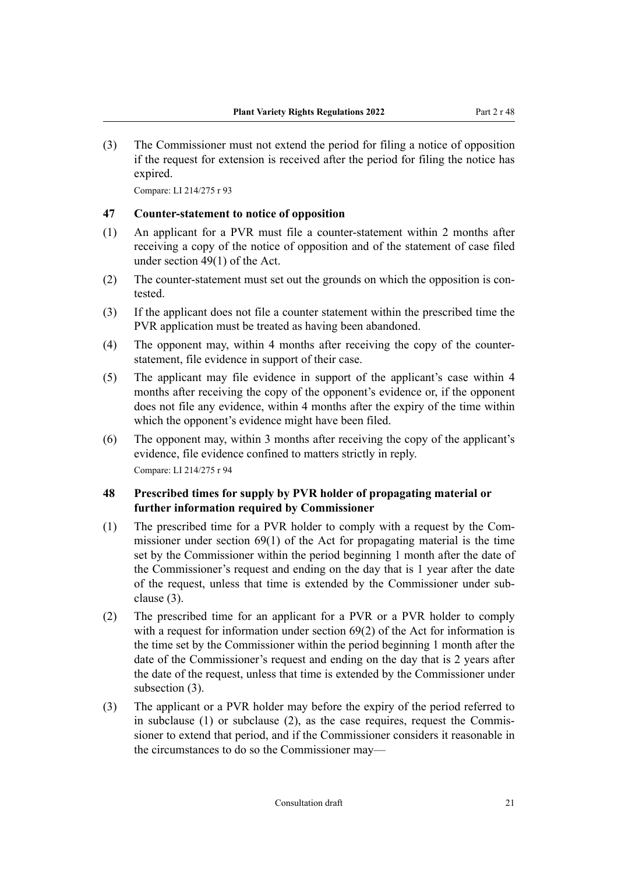<span id="page-20-0"></span>(3) The Commissioner must not extend the period for filing a notice of opposition if the request for extension is received after the period for filing the notice has expired.

Compare: LI 214/275 r 93

#### **47 Counter-statement to notice of opposition**

- (1) An applicant for a PVR must file a counter-statement within 2 months after receiving a copy of the notice of opposition and of the statement of case filed under section 49(1) of the Act.
- (2) The counter-statement must set out the grounds on which the opposition is contested.
- (3) If the applicant does not file a counter statement within the prescribed time the PVR application must be treated as having been abandoned.
- (4) The opponent may, within 4 months after receiving the copy of the counterstatement, file evidence in support of their case.
- (5) The applicant may file evidence in support of the applicant's case within 4 months after receiving the copy of the opponent's evidence or, if the opponent does not file any evidence, within 4 months after the expiry of the time within which the opponent's evidence might have been filed.
- (6) The opponent may, within 3 months after receiving the copy of the applicant's evidence, file evidence confined to matters strictly in reply. Compare: LI 214/275 r 94

# **48 Prescribed times for supply by PVR holder of propagating material or further information required by Commissioner**

- (1) The prescribed time for a PVR holder to comply with a request by the Com‐ missioner under section 69(1) of the Act for propagating material is the time set by the Commissioner within the period beginning 1 month after the date of the Commissioner's request and ending on the day that is 1 year after the date of the request, unless that time is extended by the Commissioner under sub‐ clause (3).
- (2) The prescribed time for an applicant for a PVR or a PVR holder to comply with a request for information under section 69(2) of the Act for information is the time set by the Commissioner within the period beginning 1 month after the date of the Commissioner's request and ending on the day that is 2 years after the date of the request, unless that time is extended by the Commissioner under subsection (3).
- (3) The applicant or a PVR holder may before the expiry of the period referred to in subclause (1) or subclause (2), as the case requires, request the Commissioner to extend that period, and if the Commissioner considers it reasonable in the circumstances to do so the Commissioner may—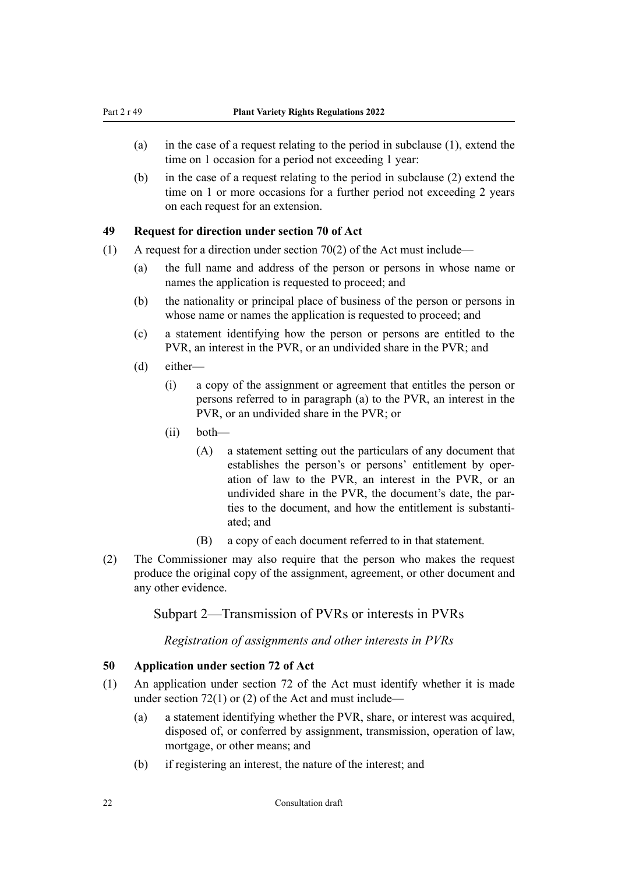- <span id="page-21-0"></span>(a) in the case of a request relating to the period in subclause (1), extend the time on 1 occasion for a period not exceeding 1 year:
- (b) in the case of a request relating to the period in subclause (2) extend the time on 1 or more occasions for a further period not exceeding 2 years on each request for an extension.

#### **49 Request for direction under section 70 of Act**

- (1) A request for a direction under section 70(2) of the Act must include—
	- (a) the full name and address of the person or persons in whose name or names the application is requested to proceed; and
	- (b) the nationality or principal place of business of the person or persons in whose name or names the application is requested to proceed; and
	- (c) a statement identifying how the person or persons are entitled to the PVR, an interest in the PVR, or an undivided share in the PVR; and
	- (d) either—
		- (i) a copy of the assignment or agreement that entitles the person or persons referred to in paragraph (a) to the PVR, an interest in the PVR, or an undivided share in the PVR; or
		- (ii) both—
			- (A) a statement setting out the particulars of any document that establishes the person's or persons' entitlement by oper‐ ation of law to the PVR, an interest in the PVR, or an undivided share in the PVR, the document's date, the par‐ ties to the document, and how the entitlement is substanti‐ ated; and
			- (B) a copy of each document referred to in that statement.
- (2) The Commissioner may also require that the person who makes the request produce the original copy of the assignment, agreement, or other document and any other evidence.

### Subpart 2—Transmission of PVRs or interests in PVRs

*Registration of assignments and other interests in PVRs*

#### **50 Application under section 72 of Act**

- (1) An application under section 72 of the Act must identify whether it is made under section  $72(1)$  or  $(2)$  of the Act and must include—
	- (a) a statement identifying whether the PVR, share, or interest was acquired, disposed of, or conferred by assignment, transmission, operation of law, mortgage, or other means; and
	- (b) if registering an interest, the nature of the interest; and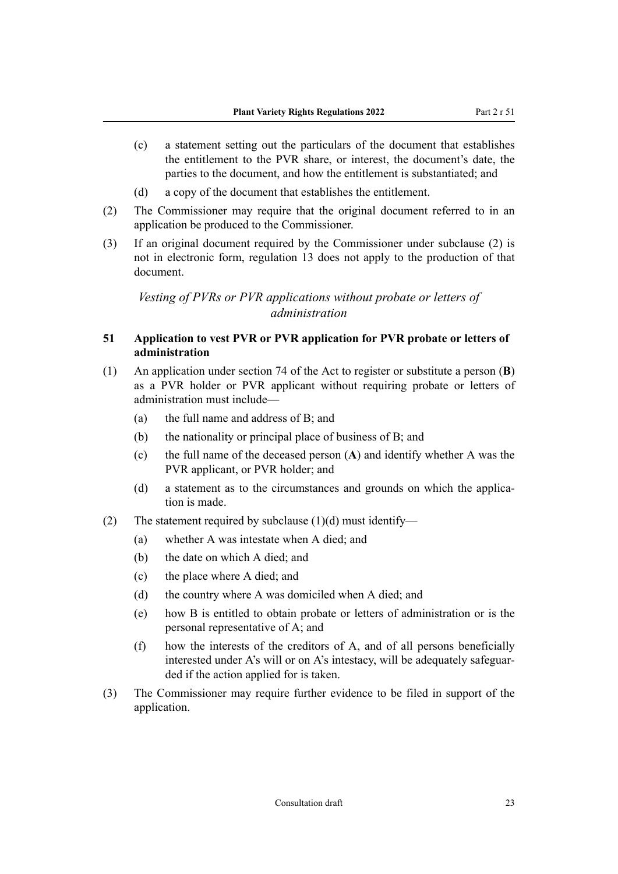- <span id="page-22-0"></span>(c) a statement setting out the particulars of the document that establishes the entitlement to the PVR share, or interest, the document's date, the parties to the document, and how the entitlement is substantiated; and
- (d) a copy of the document that establishes the entitlement.
- (2) The Commissioner may require that the original document referred to in an application be produced to the Commissioner.
- (3) If an original document required by the Commissioner under subclause (2) is not in electronic form, regulation 13 does not apply to the production of that document.

*Vesting of PVRs or PVR applications without probate or letters of administration*

### **51 Application to vest PVR or PVR application for PVR probate or letters of administration**

- (1) An application under section 74 of the Act to register or substitute a person (**B**) as a PVR holder or PVR applicant without requiring probate or letters of administration must include—
	- (a) the full name and address of B; and
	- (b) the nationality or principal place of business of B; and
	- (c) the full name of the deceased person (**A**) and identify whether A was the PVR applicant, or PVR holder; and
	- (d) a statement as to the circumstances and grounds on which the application is made.
- (2) The statement required by subclause  $(1)(d)$  must identify—
	- (a) whether A was intestate when A died; and
	- (b) the date on which A died; and
	- (c) the place where A died; and
	- (d) the country where A was domiciled when A died; and
	- (e) how B is entitled to obtain probate or letters of administration or is the personal representative of A; and
	- (f) how the interests of the creditors of A, and of all persons beneficially interested under A's will or on A's intestacy, will be adequately safeguarded if the action applied for is taken.
- (3) The Commissioner may require further evidence to be filed in support of the application.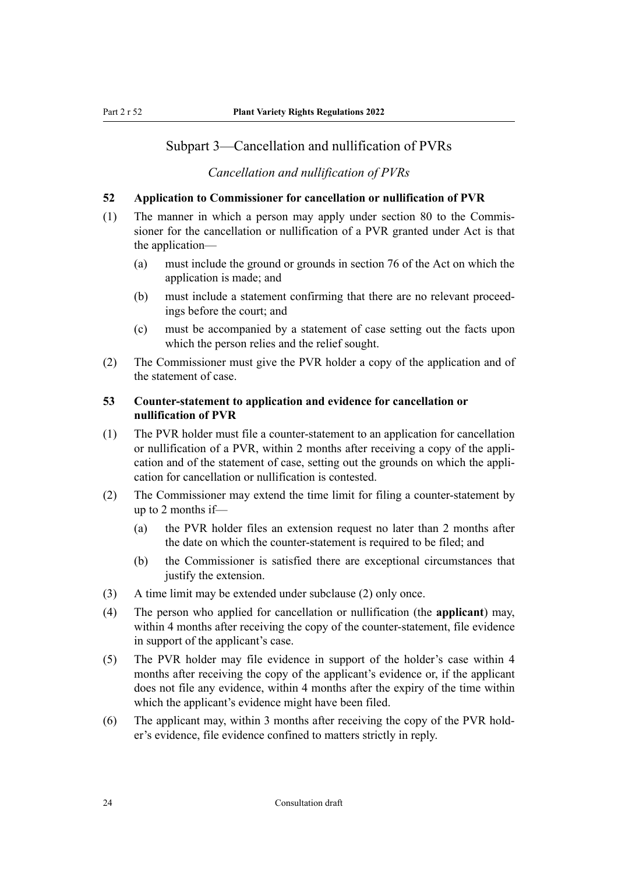# <span id="page-23-0"></span>Subpart 3—Cancellation and nullification of PVRs

# *Cancellation and nullification of PVRs*

# **52 Application to Commissioner for cancellation or nullification of PVR**

- (1) The manner in which a person may apply under section 80 to the Commis‐ sioner for the cancellation or nullification of a PVR granted under Act is that the application—
	- (a) must include the ground or grounds in section 76 of the Act on which the application is made; and
	- (b) must include a statement confirming that there are no relevant proceedings before the court; and
	- (c) must be accompanied by a statement of case setting out the facts upon which the person relies and the relief sought.
- (2) The Commissioner must give the PVR holder a copy of the application and of the statement of case.

# **53 Counter-statement to application and evidence for cancellation or nullification of PVR**

- (1) The PVR holder must file a counter-statement to an application for cancellation or nullification of a PVR, within 2 months after receiving a copy of the appli‐ cation and of the statement of case, setting out the grounds on which the appli‐ cation for cancellation or nullification is contested.
- (2) The Commissioner may extend the time limit for filing a counter-statement by up to 2 months if—
	- (a) the PVR holder files an extension request no later than 2 months after the date on which the counter-statement is required to be filed; and
	- (b) the Commissioner is satisfied there are exceptional circumstances that justify the extension.
- (3) A time limit may be extended under subclause (2) only once.
- (4) The person who applied for cancellation or nullification (the **applicant**) may, within 4 months after receiving the copy of the counter-statement, file evidence in support of the applicant's case.
- (5) The PVR holder may file evidence in support of the holder's case within 4 months after receiving the copy of the applicant's evidence or, if the applicant does not file any evidence, within 4 months after the expiry of the time within which the applicant's evidence might have been filed.
- (6) The applicant may, within 3 months after receiving the copy of the PVR hold‐ er's evidence, file evidence confined to matters strictly in reply.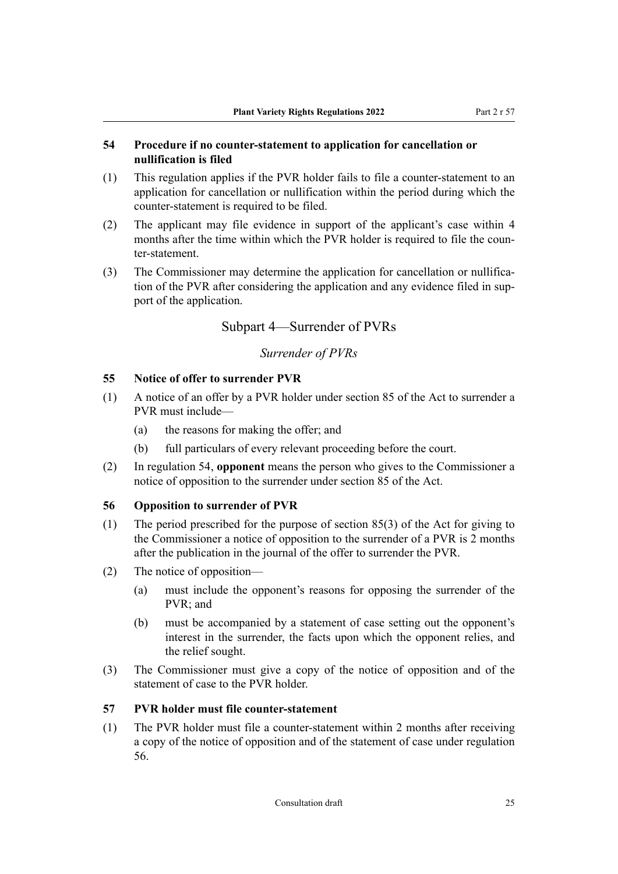#### <span id="page-24-0"></span>**54 Procedure if no counter-statement to application for cancellation or nullification is filed**

- (1) This regulation applies if the PVR holder fails to file a counter-statement to an application for cancellation or nullification within the period during which the counter-statement is required to be filed.
- (2) The applicant may file evidence in support of the applicant's case within 4 months after the time within which the PVR holder is required to file the counter-statement.
- (3) The Commissioner may determine the application for cancellation or nullification of the PVR after considering the application and any evidence filed in support of the application.

# Subpart 4—Surrender of PVRs

# *Surrender of PVRs*

# **55 Notice of offer to surrender PVR**

- (1) A notice of an offer by a PVR holder under section 85 of the Act to surrender a PVR must include—
	- (a) the reasons for making the offer; and
	- (b) full particulars of every relevant proceeding before the court.
- (2) In regulation 54, **opponent** means the person who gives to the Commissioner a notice of opposition to the surrender under section 85 of the Act.

#### **56 Opposition to surrender of PVR**

- (1) The period prescribed for the purpose of section 85(3) of the Act for giving to the Commissioner a notice of opposition to the surrender of a PVR is 2 months after the publication in the journal of the offer to surrender the PVR.
- (2) The notice of opposition—
	- (a) must include the opponent's reasons for opposing the surrender of the PVR; and
	- (b) must be accompanied by a statement of case setting out the opponent's interest in the surrender, the facts upon which the opponent relies, and the relief sought.
- (3) The Commissioner must give a copy of the notice of opposition and of the statement of case to the PVR holder.

#### **57 PVR holder must file counter-statement**

(1) The PVR holder must file a counter-statement within 2 months after receiving a copy of the notice of opposition and of the statement of case under regulation 56.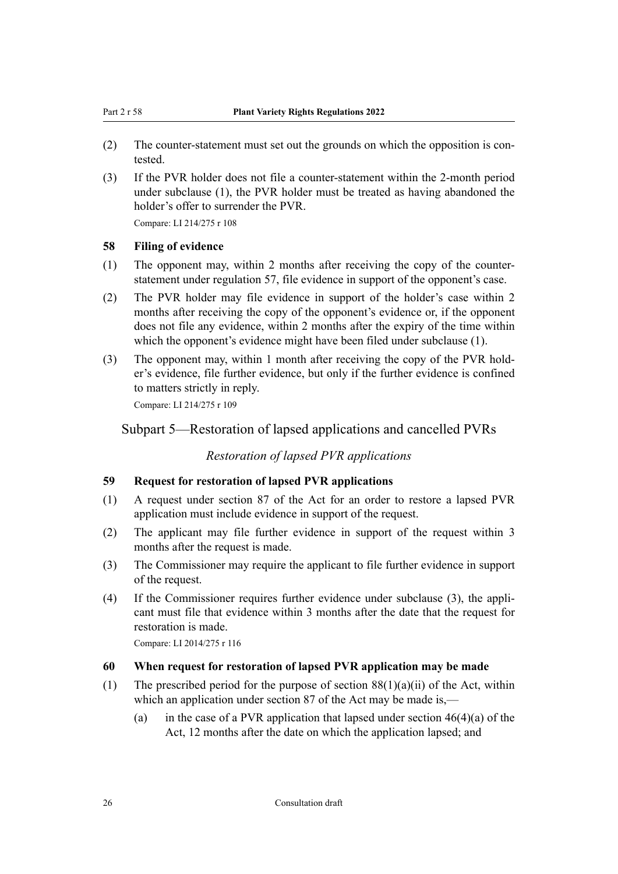- (2) The counter-statement must set out the grounds on which the opposition is contested.
- (3) If the PVR holder does not file a counter-statement within the 2-month period under subclause (1), the PVR holder must be treated as having abandoned the holder's offer to surrender the PVR.

#### **58 Filing of evidence**

- (1) The opponent may, within 2 months after receiving the copy of the counterstatement under regulation 57, file evidence in support of the opponent's case.
- (2) The PVR holder may file evidence in support of the holder's case within 2 months after receiving the copy of the opponent's evidence or, if the opponent does not file any evidence, within 2 months after the expiry of the time within which the opponent's evidence might have been filed under subclause (1).
- (3) The opponent may, within 1 month after receiving the copy of the PVR hold‐ er's evidence, file further evidence, but only if the further evidence is confined to matters strictly in reply.

Compare: LI 214/275 r 109

# Subpart 5—Restoration of lapsed applications and cancelled PVRs

#### *Restoration of lapsed PVR applications*

#### **59 Request for restoration of lapsed PVR applications**

- (1) A request under section 87 of the Act for an order to restore a lapsed PVR application must include evidence in support of the request.
- (2) The applicant may file further evidence in support of the request within 3 months after the request is made.
- (3) The Commissioner may require the applicant to file further evidence in support of the request.
- (4) If the Commissioner requires further evidence under subclause (3), the appli‐ cant must file that evidence within 3 months after the date that the request for restoration is made.

Compare: LI 2014/275 r 116

#### **60 When request for restoration of lapsed PVR application may be made**

- (1) The prescribed period for the purpose of section  $88(1)(a)(ii)$  of the Act, within which an application under section 87 of the Act may be made is,—
	- (a) in the case of a PVR application that lapsed under section  $46(4)(a)$  of the Act, 12 months after the date on which the application lapsed; and

<span id="page-25-0"></span>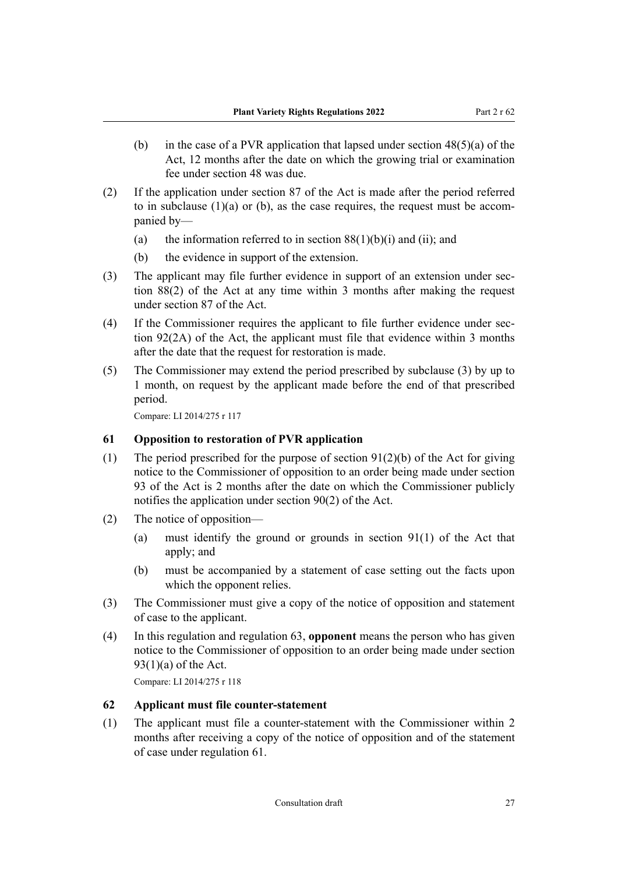- <span id="page-26-0"></span>(b) in the case of a PVR application that lapsed under section  $48(5)(a)$  of the Act, 12 months after the date on which the growing trial or examination fee under section 48 was due.
- (2) If the application under section 87 of the Act is made after the period referred to in subclause  $(1)(a)$  or  $(b)$ , as the case requires, the request must be accompanied by—
	- (a) the information referred to in section  $88(1)(b)(i)$  and (ii); and
	- (b) the evidence in support of the extension.
- (3) The applicant may file further evidence in support of an extension under section 88(2) of the Act at any time within 3 months after making the request under section 87 of the Act.
- (4) If the Commissioner requires the applicant to file further evidence under section 92(2A) of the Act, the applicant must file that evidence within 3 months after the date that the request for restoration is made.
- (5) The Commissioner may extend the period prescribed by subclause (3) by up to 1 month, on request by the applicant made before the end of that prescribed period.

#### **61 Opposition to restoration of PVR application**

- (1) The period prescribed for the purpose of section  $91(2)(b)$  of the Act for giving notice to the Commissioner of opposition to an order being made under section 93 of the Act is 2 months after the date on which the Commissioner publicly notifies the application under section 90(2) of the Act.
- (2) The notice of opposition—
	- (a) must identify the ground or grounds in section 91(1) of the Act that apply; and
	- (b) must be accompanied by a statement of case setting out the facts upon which the opponent relies.
- (3) The Commissioner must give a copy of the notice of opposition and statement of case to the applicant.
- (4) In this regulation and regulation 63, **opponent** means the person who has given notice to the Commissioner of opposition to an order being made under section  $93(1)(a)$  of the Act.

Compare: LI 2014/275 r 118

#### **62 Applicant must file counter-statement**

(1) The applicant must file a counter-statement with the Commissioner within 2 months after receiving a copy of the notice of opposition and of the statement of case under regulation 61.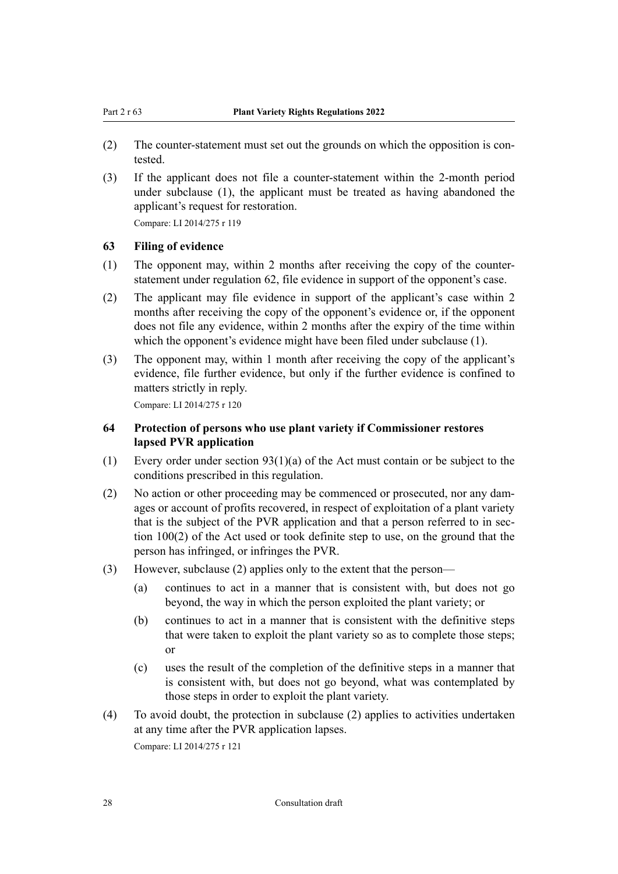- <span id="page-27-0"></span>(2) The counter-statement must set out the grounds on which the opposition is contested.
- (3) If the applicant does not file a counter-statement within the 2-month period under subclause (1), the applicant must be treated as having abandoned the applicant's request for restoration.

#### **63 Filing of evidence**

- (1) The opponent may, within 2 months after receiving the copy of the counterstatement under regulation 62, file evidence in support of the opponent's case.
- (2) The applicant may file evidence in support of the applicant's case within 2 months after receiving the copy of the opponent's evidence or, if the opponent does not file any evidence, within 2 months after the expiry of the time within which the opponent's evidence might have been filed under subclause (1).
- (3) The opponent may, within 1 month after receiving the copy of the applicant's evidence, file further evidence, but only if the further evidence is confined to matters strictly in reply.

Compare: LI 2014/275 r 120

#### **64 Protection of persons who use plant variety if Commissioner restores lapsed PVR application**

- (1) Every order under section 93(1)(a) of the Act must contain or be subject to the conditions prescribed in this regulation.
- (2) No action or other proceeding may be commenced or prosecuted, nor any dam‐ ages or account of profits recovered, in respect of exploitation of a plant variety that is the subject of the PVR application and that a person referred to in section 100(2) of the Act used or took definite step to use, on the ground that the person has infringed, or infringes the PVR.
- (3) However, subclause (2) applies only to the extent that the person—
	- (a) continues to act in a manner that is consistent with, but does not go beyond, the way in which the person exploited the plant variety; or
	- (b) continues to act in a manner that is consistent with the definitive steps that were taken to exploit the plant variety so as to complete those steps; or
	- (c) uses the result of the completion of the definitive steps in a manner that is consistent with, but does not go beyond, what was contemplated by those steps in order to exploit the plant variety.
- (4) To avoid doubt, the protection in subclause (2) applies to activities undertaken at any time after the PVR application lapses. Compare: LI 2014/275 r 121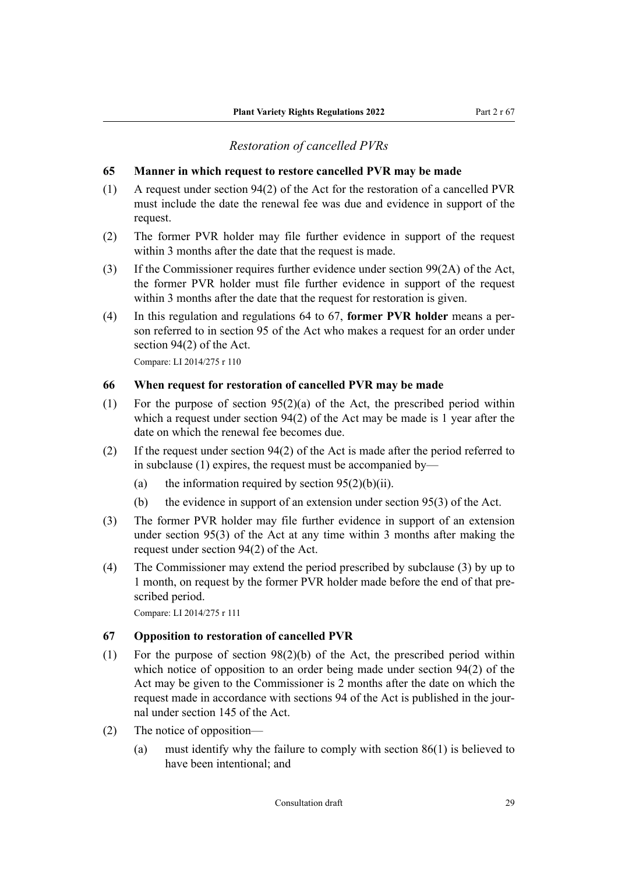### *Restoration of cancelled PVRs*

#### <span id="page-28-0"></span>**65 Manner in which request to restore cancelled PVR may be made**

- (1) A request under section 94(2) of the Act for the restoration of a cancelled PVR must include the date the renewal fee was due and evidence in support of the request.
- (2) The former PVR holder may file further evidence in support of the request within 3 months after the date that the request is made.
- (3) If the Commissioner requires further evidence under section 99(2A) of the Act, the former PVR holder must file further evidence in support of the request within 3 months after the date that the request for restoration is given.
- (4) In this regulation and regulations 64 to 67, **former PVR holder** means a per‐ son referred to in section 95 of the Act who makes a request for an order under section 94(2) of the Act.

Compare: LI 2014/275 r 110

#### **66 When request for restoration of cancelled PVR may be made**

- (1) For the purpose of section 95(2)(a) of the Act, the prescribed period within which a request under section 94(2) of the Act may be made is 1 year after the date on which the renewal fee becomes due.
- (2) If the request under section 94(2) of the Act is made after the period referred to in subclause (1) expires, the request must be accompanied by—
	- (a) the information required by section  $95(2)(b)(ii)$ .
	- (b) the evidence in support of an extension under section 95(3) of the Act.
- (3) The former PVR holder may file further evidence in support of an extension under section 95(3) of the Act at any time within 3 months after making the request under section 94(2) of the Act.
- (4) The Commissioner may extend the period prescribed by subclause (3) by up to 1 month, on request by the former PVR holder made before the end of that pre‐ scribed period.

Compare: LI 2014/275 r 111

#### **67 Opposition to restoration of cancelled PVR**

- (1) For the purpose of section 98(2)(b) of the Act, the prescribed period within which notice of opposition to an order being made under section 94(2) of the Act may be given to the Commissioner is 2 months after the date on which the request made in accordance with sections 94 of the Act is published in the journal under section 145 of the Act.
- (2) The notice of opposition—
	- (a) must identify why the failure to comply with section 86(1) is believed to have been intentional; and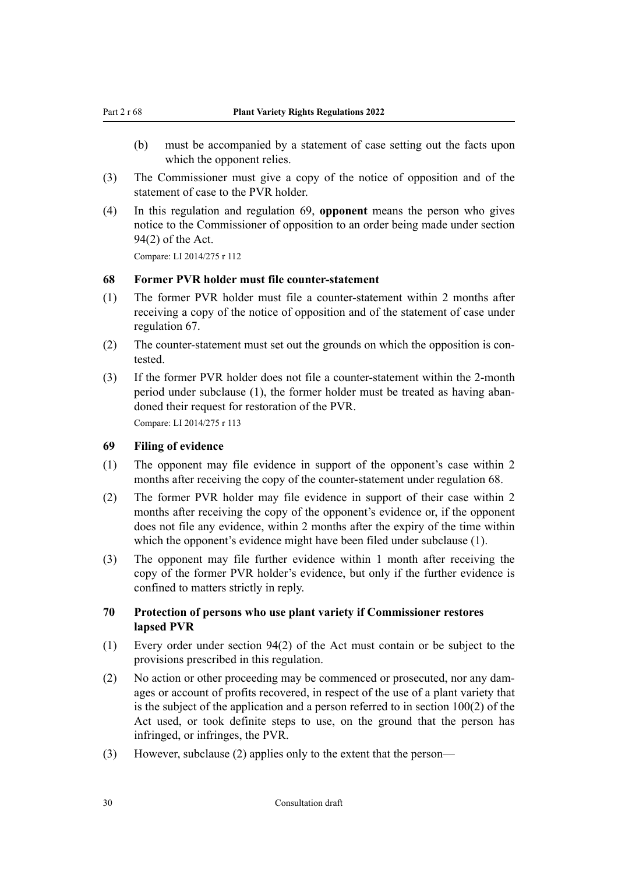- <span id="page-29-0"></span>(b) must be accompanied by a statement of case setting out the facts upon which the opponent relies.
- (3) The Commissioner must give a copy of the notice of opposition and of the statement of case to the PVR holder.
- (4) In this regulation and regulation 69, **opponent** means the person who gives notice to the Commissioner of opposition to an order being made under section 94(2) of the Act.

#### **68 Former PVR holder must file counter-statement**

- (1) The former PVR holder must file a counter-statement within 2 months after receiving a copy of the notice of opposition and of the statement of case under regulation 67.
- (2) The counter-statement must set out the grounds on which the opposition is contested.
- (3) If the former PVR holder does not file a counter-statement within the 2-month period under subclause (1), the former holder must be treated as having abandoned their request for restoration of the PVR. Compare: LI 2014/275 r 113

# **69 Filing of evidence**

- (1) The opponent may file evidence in support of the opponent's case within 2 months after receiving the copy of the counter-statement under regulation 68.
- (2) The former PVR holder may file evidence in support of their case within 2 months after receiving the copy of the opponent's evidence or, if the opponent does not file any evidence, within 2 months after the expiry of the time within which the opponent's evidence might have been filed under subclause (1).
- (3) The opponent may file further evidence within 1 month after receiving the copy of the former PVR holder's evidence, but only if the further evidence is confined to matters strictly in reply.

# **70 Protection of persons who use plant variety if Commissioner restores lapsed PVR**

- (1) Every order under section 94(2) of the Act must contain or be subject to the provisions prescribed in this regulation.
- (2) No action or other proceeding may be commenced or prosecuted, nor any dam‐ ages or account of profits recovered, in respect of the use of a plant variety that is the subject of the application and a person referred to in section 100(2) of the Act used, or took definite steps to use, on the ground that the person has infringed, or infringes, the PVR.
- (3) However, subclause (2) applies only to the extent that the person—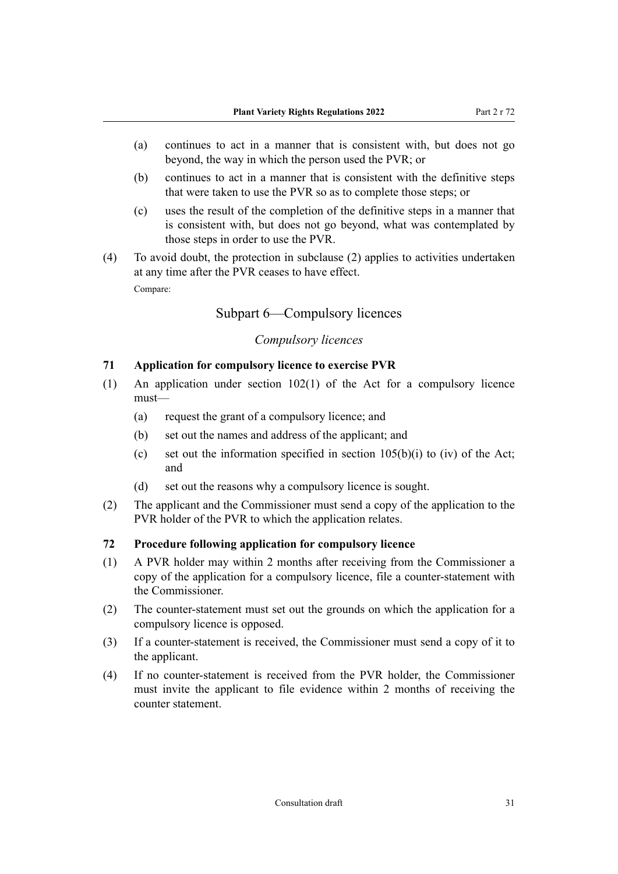- <span id="page-30-0"></span>(a) continues to act in a manner that is consistent with, but does not go beyond, the way in which the person used the PVR; or
- (b) continues to act in a manner that is consistent with the definitive steps that were taken to use the PVR so as to complete those steps; or
- (c) uses the result of the completion of the definitive steps in a manner that is consistent with, but does not go beyond, what was contemplated by those steps in order to use the PVR.
- (4) To avoid doubt, the protection in subclause (2) applies to activities undertaken at any time after the PVR ceases to have effect. Compare:

# Subpart 6—Compulsory licences

# *Compulsory licences*

#### **71 Application for compulsory licence to exercise PVR**

- (1) An application under section  $102(1)$  of the Act for a compulsory licence must—
	- (a) request the grant of a compulsory licence; and
	- (b) set out the names and address of the applicant; and
	- (c) set out the information specified in section  $105(b)(i)$  to (iv) of the Act; and
	- (d) set out the reasons why a compulsory licence is sought.
- (2) The applicant and the Commissioner must send a copy of the application to the PVR holder of the PVR to which the application relates.

#### **72 Procedure following application for compulsory licence**

- (1) A PVR holder may within 2 months after receiving from the Commissioner a copy of the application for a compulsory licence, file a counter-statement with the Commissioner.
- (2) The counter-statement must set out the grounds on which the application for a compulsory licence is opposed.
- (3) If a counter-statement is received, the Commissioner must send a copy of it to the applicant.
- (4) If no counter-statement is received from the PVR holder, the Commissioner must invite the applicant to file evidence within 2 months of receiving the counter statement.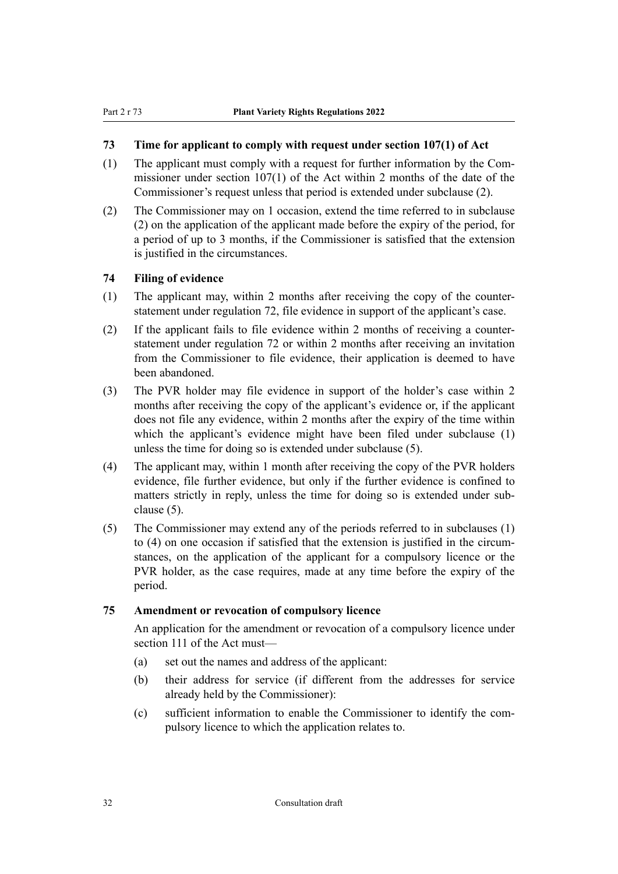# <span id="page-31-0"></span>**73 Time for applicant to comply with request under section 107(1) of Act**

- (1) The applicant must comply with a request for further information by the Com‐ missioner under section 107(1) of the Act within 2 months of the date of the Commissioner's request unless that period is extended under subclause (2).
- (2) The Commissioner may on 1 occasion, extend the time referred to in subclause (2) on the application of the applicant made before the expiry of the period, for a period of up to 3 months, if the Commissioner is satisfied that the extension is justified in the circumstances.

### **74 Filing of evidence**

- (1) The applicant may, within 2 months after receiving the copy of the counterstatement under regulation 72, file evidence in support of the applicant's case.
- (2) If the applicant fails to file evidence within 2 months of receiving a counterstatement under regulation 72 or within 2 months after receiving an invitation from the Commissioner to file evidence, their application is deemed to have been abandoned.
- (3) The PVR holder may file evidence in support of the holder's case within 2 months after receiving the copy of the applicant's evidence or, if the applicant does not file any evidence, within 2 months after the expiry of the time within which the applicant's evidence might have been filed under subclause (1) unless the time for doing so is extended under subclause (5).
- (4) The applicant may, within 1 month after receiving the copy of the PVR holders evidence, file further evidence, but only if the further evidence is confined to matters strictly in reply, unless the time for doing so is extended under subclause (5).
- (5) The Commissioner may extend any of the periods referred to in subclauses (1) to (4) on one occasion if satisfied that the extension is justified in the circum‐ stances, on the application of the applicant for a compulsory licence or the PVR holder, as the case requires, made at any time before the expiry of the period.

#### **75 Amendment or revocation of compulsory licence**

An application for the amendment or revocation of a compulsory licence under section 111 of the Act must—

- (a) set out the names and address of the applicant:
- (b) their address for service (if different from the addresses for service already held by the Commissioner):
- (c) sufficient information to enable the Commissioner to identify the com‐ pulsory licence to which the application relates to.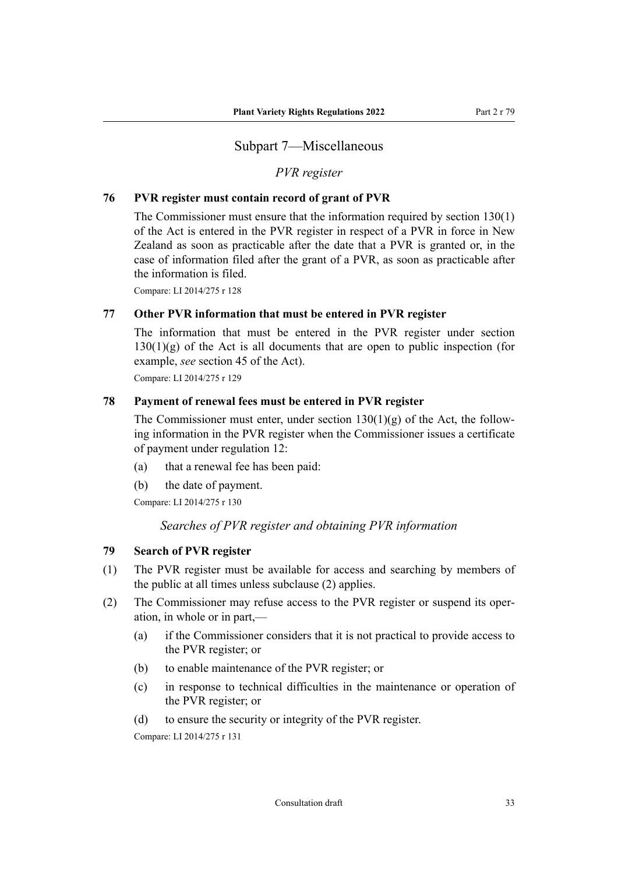# Subpart 7—Miscellaneous

#### *PVR register*

#### <span id="page-32-0"></span>**76 PVR register must contain record of grant of PVR**

The Commissioner must ensure that the information required by section 130(1) of the Act is entered in the PVR register in respect of a PVR in force in New Zealand as soon as practicable after the date that a PVR is granted or, in the case of information filed after the grant of a PVR, as soon as practicable after the information is filed.

Compare: LI 2014/275 r 128

#### **77 Other PVR information that must be entered in PVR register**

The information that must be entered in the PVR register under section  $130(1)(g)$  of the Act is all documents that are open to public inspection (for example, *see* section 45 of the Act).

Compare: LI 2014/275 r 129

#### **78 Payment of renewal fees must be entered in PVR register**

The Commissioner must enter, under section  $130(1)(g)$  of the Act, the following information in the PVR register when the Commissioner issues a certificate of payment under regulation 12:

- (a) that a renewal fee has been paid:
- (b) the date of payment.

Compare: LI 2014/275 r 130

# *Searches of PVR register and obtaining PVR information*

#### **79 Search of PVR register**

- (1) The PVR register must be available for access and searching by members of the public at all times unless subclause (2) applies.
- (2) The Commissioner may refuse access to the PVR register or suspend its oper‐ ation, in whole or in part,—
	- (a) if the Commissioner considers that it is not practical to provide access to the PVR register; or
	- (b) to enable maintenance of the PVR register; or
	- (c) in response to technical difficulties in the maintenance or operation of the PVR register; or
	- (d) to ensure the security or integrity of the PVR register.

Compare: LI 2014/275 r 131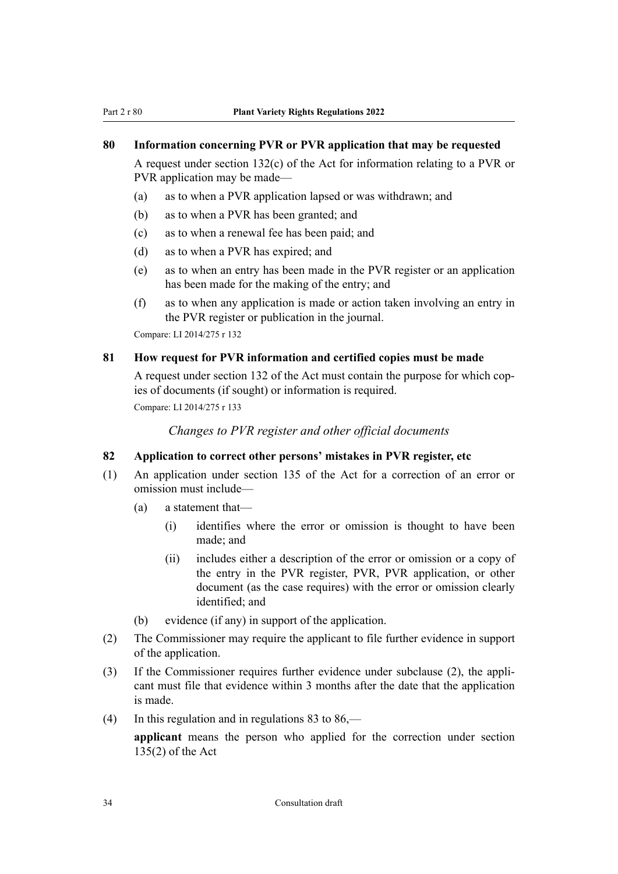#### <span id="page-33-0"></span>**80 Information concerning PVR or PVR application that may be requested**

A request under section 132(c) of the Act for information relating to a PVR or PVR application may be made—

- (a) as to when a PVR application lapsed or was withdrawn; and
- (b) as to when a PVR has been granted; and
- (c) as to when a renewal fee has been paid; and
- (d) as to when a PVR has expired; and
- (e) as to when an entry has been made in the PVR register or an application has been made for the making of the entry; and
- (f) as to when any application is made or action taken involving an entry in the PVR register or publication in the journal.

Compare: LI 2014/275 r 132

#### **81 How request for PVR information and certified copies must be made**

A request under section 132 of the Act must contain the purpose for which cop‐ ies of documents (if sought) or information is required.

Compare: LI 2014/275 r 133

*Changes to PVR register and other official documents*

#### **82 Application to correct other persons' mistakes in PVR register, etc**

- (1) An application under section 135 of the Act for a correction of an error or omission must include—
	- (a) a statement that—
		- (i) identifies where the error or omission is thought to have been made; and
		- (ii) includes either a description of the error or omission or a copy of the entry in the PVR register, PVR, PVR application, or other document (as the case requires) with the error or omission clearly identified; and
	- (b) evidence (if any) in support of the application.
- (2) The Commissioner may require the applicant to file further evidence in support of the application.
- (3) If the Commissioner requires further evidence under subclause (2), the appli‐ cant must file that evidence within 3 months after the date that the application is made.
- (4) In this regulation and in regulations 83 to  $86$ ,—

**applicant** means the person who applied for the correction under section 135(2) of the Act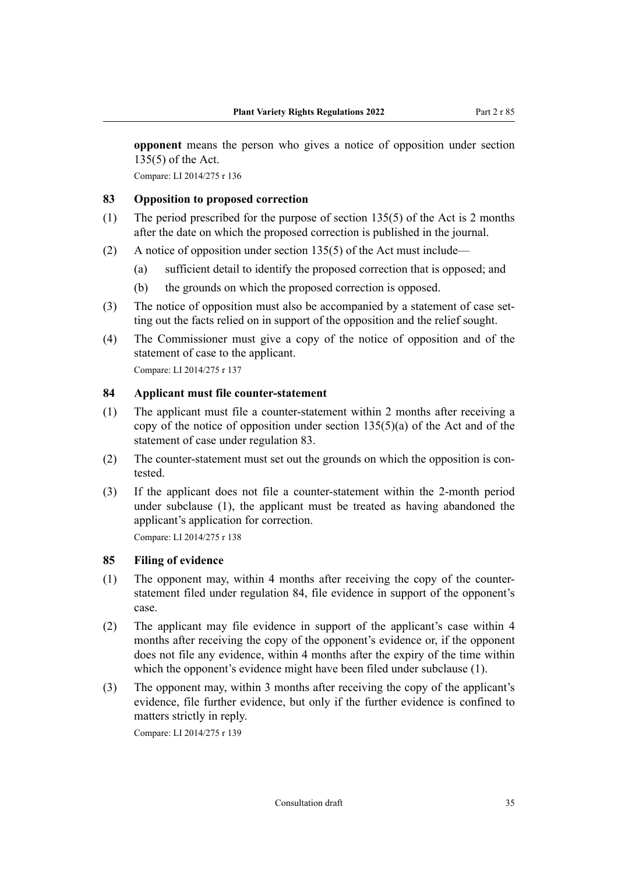<span id="page-34-0"></span>**opponent** means the person who gives a notice of opposition under section 135(5) of the Act.

Compare: LI 2014/275 r 136

#### **83 Opposition to proposed correction**

- (1) The period prescribed for the purpose of section 135(5) of the Act is 2 months after the date on which the proposed correction is published in the journal.
- (2) A notice of opposition under section 135(5) of the Act must include—
	- (a) sufficient detail to identify the proposed correction that is opposed; and
	- (b) the grounds on which the proposed correction is opposed.
- (3) The notice of opposition must also be accompanied by a statement of case set‐ ting out the facts relied on in support of the opposition and the relief sought.
- (4) The Commissioner must give a copy of the notice of opposition and of the statement of case to the applicant.

Compare: LI 2014/275 r 137

# **84 Applicant must file counter-statement**

- (1) The applicant must file a counter-statement within 2 months after receiving a copy of the notice of opposition under section  $135(5)(a)$  of the Act and of the statement of case under regulation 83.
- (2) The counter-statement must set out the grounds on which the opposition is contested.
- (3) If the applicant does not file a counter-statement within the 2-month period under subclause (1), the applicant must be treated as having abandoned the applicant's application for correction. Compare: LI 2014/275 r 138

**85 Filing of evidence**

- (1) The opponent may, within 4 months after receiving the copy of the counterstatement filed under regulation 84, file evidence in support of the opponent's case.
- (2) The applicant may file evidence in support of the applicant's case within 4 months after receiving the copy of the opponent's evidence or, if the opponent does not file any evidence, within 4 months after the expiry of the time within which the opponent's evidence might have been filed under subclause (1).
- (3) The opponent may, within 3 months after receiving the copy of the applicant's evidence, file further evidence, but only if the further evidence is confined to matters strictly in reply.

Compare: LI 2014/275 r 139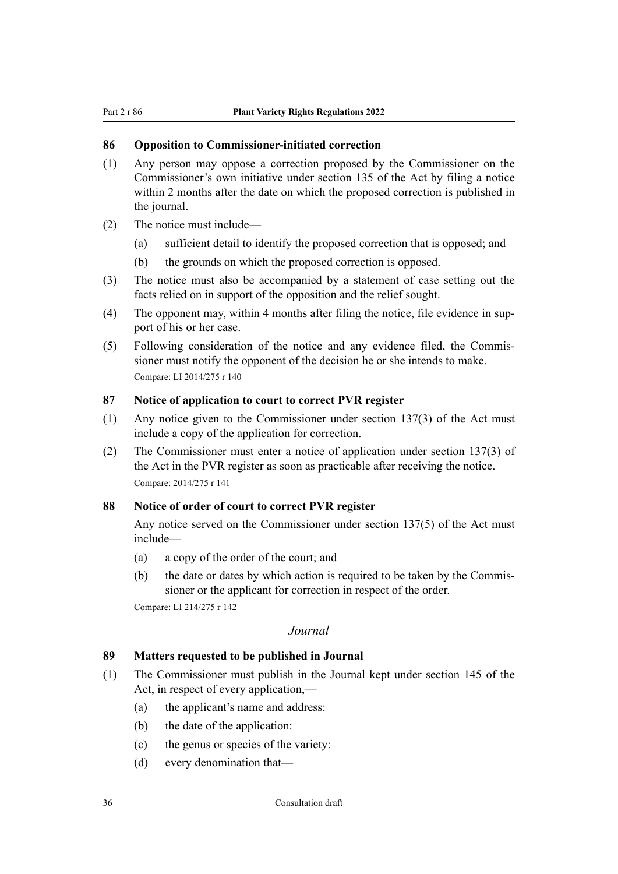#### <span id="page-35-0"></span>**86 Opposition to Commissioner-initiated correction**

- (1) Any person may oppose a correction proposed by the Commissioner on the Commissioner's own initiative under section 135 of the Act by filing a notice within 2 months after the date on which the proposed correction is published in the journal.
- (2) The notice must include—
	- (a) sufficient detail to identify the proposed correction that is opposed; and
	- (b) the grounds on which the proposed correction is opposed.
- (3) The notice must also be accompanied by a statement of case setting out the facts relied on in support of the opposition and the relief sought.
- (4) The opponent may, within 4 months after filing the notice, file evidence in sup‐ port of his or her case.
- (5) Following consideration of the notice and any evidence filed, the Commis‐ sioner must notify the opponent of the decision he or she intends to make. Compare: LI 2014/275 r 140

#### **87 Notice of application to court to correct PVR register**

- (1) Any notice given to the Commissioner under section 137(3) of the Act must include a copy of the application for correction.
- (2) The Commissioner must enter a notice of application under section 137(3) of the Act in the PVR register as soon as practicable after receiving the notice. Compare: 2014/275 r 141

# **88 Notice of order of court to correct PVR register**

Any notice served on the Commissioner under section 137(5) of the Act must include—

- (a) a copy of the order of the court; and
- (b) the date or dates by which action is required to be taken by the Commissioner or the applicant for correction in respect of the order.

Compare: LI 214/275 r 142

#### *Journal*

#### **89 Matters requested to be published in Journal**

- (1) The Commissioner must publish in the Journal kept under section 145 of the Act, in respect of every application,—
	- (a) the applicant's name and address:
	- (b) the date of the application:
	- (c) the genus or species of the variety:
	- (d) every denomination that—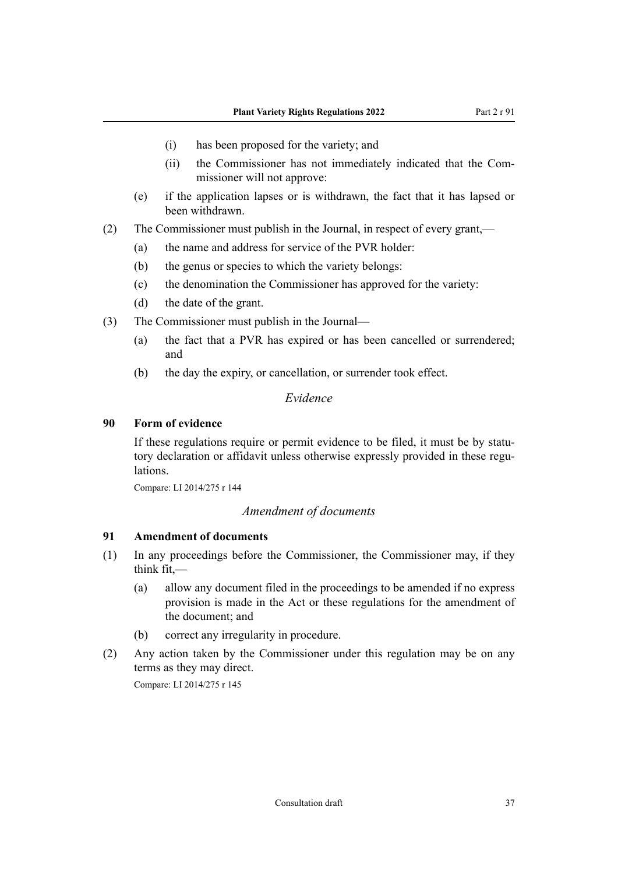- <span id="page-36-0"></span>(i) has been proposed for the variety; and
- (ii) the Commissioner has not immediately indicated that the Com‐ missioner will not approve:
- (e) if the application lapses or is withdrawn, the fact that it has lapsed or been withdrawn.
- (2) The Commissioner must publish in the Journal, in respect of every grant,—
	- (a) the name and address for service of the PVR holder:
	- (b) the genus or species to which the variety belongs:
	- (c) the denomination the Commissioner has approved for the variety:
	- (d) the date of the grant.
- (3) The Commissioner must publish in the Journal—
	- (a) the fact that a PVR has expired or has been cancelled or surrendered; and
	- (b) the day the expiry, or cancellation, or surrender took effect.

# *Evidence*

#### **90 Form of evidence**

If these regulations require or permit evidence to be filed, it must be by statutory declaration or affidavit unless otherwise expressly provided in these regulations.

Compare: LI 2014/275 r 144

#### *Amendment of documents*

#### **91 Amendment of documents**

- (1) In any proceedings before the Commissioner, the Commissioner may, if they think fit,—
	- (a) allow any document filed in the proceedings to be amended if no express provision is made in the Act or these regulations for the amendment of the document; and
	- (b) correct any irregularity in procedure.
- (2) Any action taken by the Commissioner under this regulation may be on any terms as they may direct.

Compare: LI 2014/275 r 145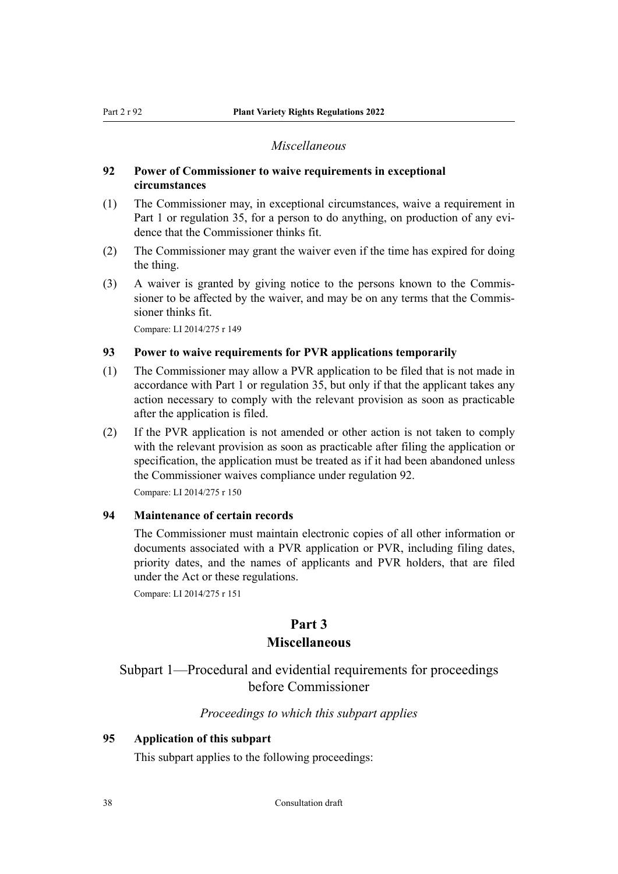#### *Miscellaneous*

#### <span id="page-37-0"></span>**92 Power of Commissioner to waive requirements in exceptional circumstances**

- (1) The Commissioner may, in exceptional circumstances, waive a requirement in Part 1 or regulation 35, for a person to do anything, on production of any evidence that the Commissioner thinks fit.
- (2) The Commissioner may grant the waiver even if the time has expired for doing the thing.
- (3) A waiver is granted by giving notice to the persons known to the Commis‐ sioner to be affected by the waiver, and may be on any terms that the Commissioner thinks fit.

Compare: LI 2014/275 r 149

#### **93 Power to waive requirements for PVR applications temporarily**

- (1) The Commissioner may allow a PVR application to be filed that is not made in accordance with Part 1 or regulation 35, but only if that the applicant takes any action necessary to comply with the relevant provision as soon as practicable after the application is filed.
- (2) If the PVR application is not amended or other action is not taken to comply with the relevant provision as soon as practicable after filing the application or specification, the application must be treated as if it had been abandoned unless the Commissioner waives compliance under regulation 92.

Compare: LI 2014/275 r 150

#### **94 Maintenance of certain records**

The Commissioner must maintain electronic copies of all other information or documents associated with a PVR application or PVR, including filing dates, priority dates, and the names of applicants and PVR holders, that are filed under the Act or these regulations.

Compare: LI 2014/275 r 151

#### **Part 3**

#### **Miscellaneous**

# Subpart 1—Procedural and evidential requirements for proceedings before Commissioner

#### *Proceedings to which this subpart applies*

#### **95 Application of this subpart**

This subpart applies to the following proceedings: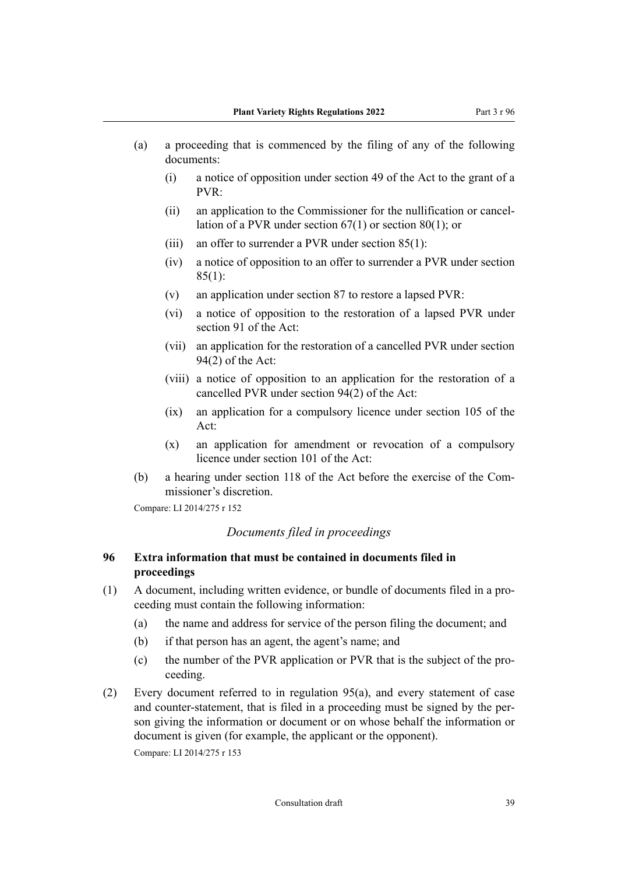- <span id="page-38-0"></span>(a) a proceeding that is commenced by the filing of any of the following documents:
	- (i) a notice of opposition under section 49 of the Act to the grant of a PVR:
	- (ii) an application to the Commissioner for the nullification or cancel‐ lation of a PVR under section 67(1) or section 80(1); or
	- (iii) an offer to surrender a PVR under section 85(1):
	- (iv) a notice of opposition to an offer to surrender a PVR under section  $85(1)$ :
	- (v) an application under section 87 to restore a lapsed PVR:
	- (vi) a notice of opposition to the restoration of a lapsed PVR under section 91 of the Act:
	- (vii) an application for the restoration of a cancelled PVR under section 94(2) of the Act:
	- (viii) a notice of opposition to an application for the restoration of a cancelled PVR under section 94(2) of the Act:
	- (ix) an application for a compulsory licence under section 105 of the Act:
	- (x) an application for amendment or revocation of a compulsory licence under section 101 of the Act:
- (b) a hearing under section 118 of the Act before the exercise of the Commissioner's discretion.

#### *Documents filed in proceedings*

# **96 Extra information that must be contained in documents filed in proceedings**

- (1) A document, including written evidence, or bundle of documents filed in a pro‐ ceeding must contain the following information:
	- (a) the name and address for service of the person filing the document; and
	- (b) if that person has an agent, the agent's name; and
	- (c) the number of the PVR application or PVR that is the subject of the pro‐ ceeding.
- (2) Every document referred to in regulation 95(a), and every statement of case and counter-statement, that is filed in a proceeding must be signed by the person giving the information or document or on whose behalf the information or document is given (for example, the applicant or the opponent). Compare: LI 2014/275 r 153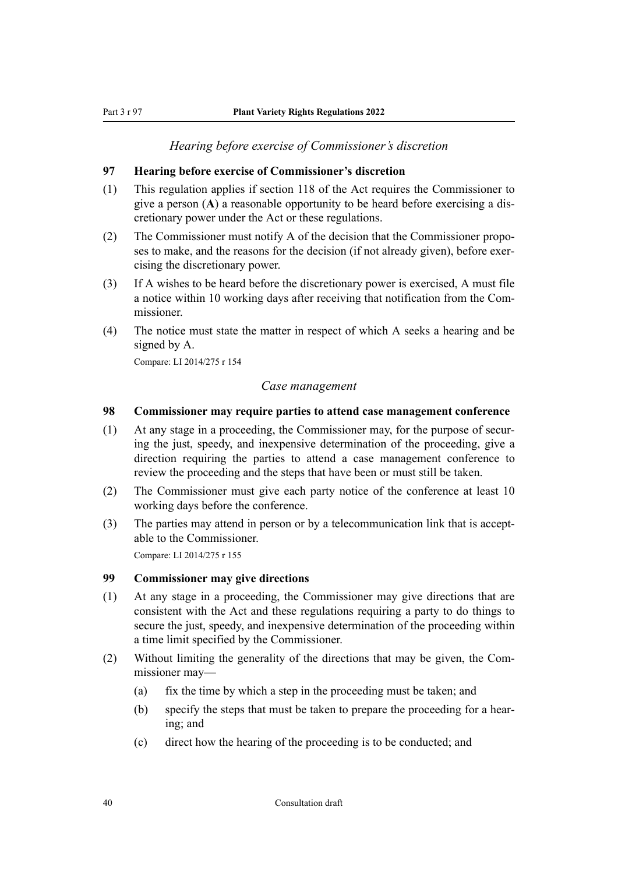#### *Hearing before exercise of Commissioner's discretion*

#### <span id="page-39-0"></span>**97 Hearing before exercise of Commissioner's discretion**

- (1) This regulation applies if section 118 of the Act requires the Commissioner to give a person (**A**) a reasonable opportunity to be heard before exercising a dis‐ cretionary power under the Act or these regulations.
- (2) The Commissioner must notify A of the decision that the Commissioner propo‐ ses to make, and the reasons for the decision (if not already given), before exercising the discretionary power.
- (3) If A wishes to be heard before the discretionary power is exercised, A must file a notice within 10 working days after receiving that notification from the Com‐ missioner.
- (4) The notice must state the matter in respect of which A seeks a hearing and be signed by A.

Compare: LI 2014/275 r 154

#### *Case management*

#### **98 Commissioner may require parties to attend case management conference**

- (1) At any stage in a proceeding, the Commissioner may, for the purpose of securing the just, speedy, and inexpensive determination of the proceeding, give a direction requiring the parties to attend a case management conference to review the proceeding and the steps that have been or must still be taken.
- (2) The Commissioner must give each party notice of the conference at least 10 working days before the conference.
- (3) The parties may attend in person or by a telecommunication link that is acceptable to the Commissioner. Compare: LI 2014/275 r 155

#### **99 Commissioner may give directions**

- (1) At any stage in a proceeding, the Commissioner may give directions that are consistent with the Act and these regulations requiring a party to do things to secure the just, speedy, and inexpensive determination of the proceeding within a time limit specified by the Commissioner.
- (2) Without limiting the generality of the directions that may be given, the Com‐ missioner may—
	- (a) fix the time by which a step in the proceeding must be taken; and
	- (b) specify the steps that must be taken to prepare the proceeding for a hear‐ ing; and
	- (c) direct how the hearing of the proceeding is to be conducted; and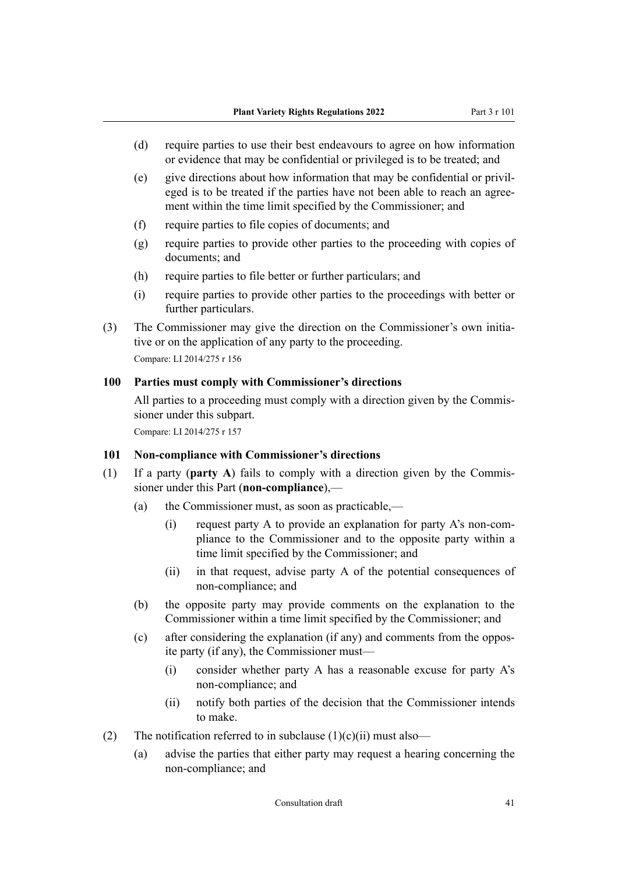- <span id="page-40-0"></span>(d) require parties to use their best endeavours to agree on how information or evidence that may be confidential or privileged is to be treated; and
- $(e)$  give directions about how information that may be confidential or privil eged is to be treated if the parties have not been able to reach an agree‐ ment within the time limit specified by the Commissioner; and
- (f) require parties to file copies of documents; and
- (g) require parties to provide other parties to the proceeding with copies of documents; and
- (h) require parties to file better or further particulars; and
- (i) require parties to provide other parties to the proceedings with better or further particulars.
- (3) The Commissioner may give the direction on the Commissioner's own initiative or on the application of any party to the proceeding. Compare: LI 2014/275 r 156

#### **100 Parties must comply with Commissioner's directions**

All parties to a proceeding must comply with a direction given by the Commissioner under this subpart.

Compare: LI 2014/275 r 157

#### **101 Non-compliance with Commissioner's directions**

- (1) If a party (**party A**) fails to comply with a direction given by the Commis‐ sioner under this Part (**non-compliance**),—
	- (a) the Commissioner must, as soon as practicable,—
		- (i) request party A to provide an explanation for party A's non-com‐ pliance to the Commissioner and to the opposite party within a time limit specified by the Commissioner; and
		- (ii) in that request, advise party A of the potential consequences of non-compliance; and
	- (b) the opposite party may provide comments on the explanation to the Commissioner within a time limit specified by the Commissioner; and
	- (c) after considering the explanation (if any) and comments from the oppos‐ ite party (if any), the Commissioner must—
		- (i) consider whether party A has a reasonable excuse for party A's non-compliance; and
		- (ii) notify both parties of the decision that the Commissioner intends to make.
- (2) The notification referred to in subclause  $(1)(c)(ii)$  must also—
	- (a) advise the parties that either party may request a hearing concerning the non-compliance; and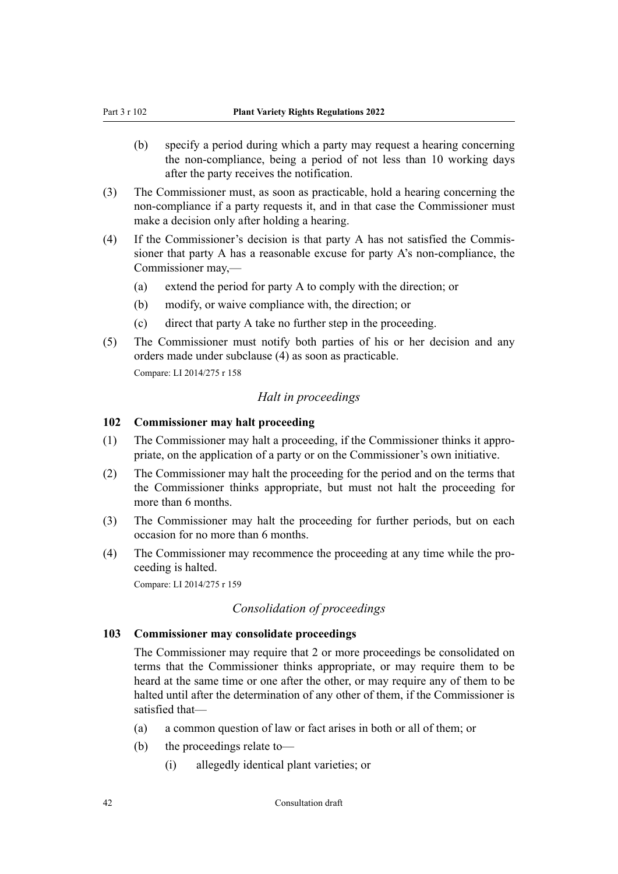- <span id="page-41-0"></span>(b) specify a period during which a party may request a hearing concerning the non-compliance, being a period of not less than 10 working days after the party receives the notification.
- (3) The Commissioner must, as soon as practicable, hold a hearing concerning the non-compliance if a party requests it, and in that case the Commissioner must make a decision only after holding a hearing.
- (4) If the Commissioner's decision is that party A has not satisfied the Commis‐ sioner that party A has a reasonable excuse for party A's non-compliance, the Commissioner may,—
	- (a) extend the period for party A to comply with the direction; or
	- (b) modify, or waive compliance with, the direction; or
	- (c) direct that party A take no further step in the proceeding.
- (5) The Commissioner must notify both parties of his or her decision and any orders made under subclause (4) as soon as practicable.

#### *Halt in proceedings*

### **102 Commissioner may halt proceeding**

- (1) The Commissioner may halt a proceeding, if the Commissioner thinks it appro‐ priate, on the application of a party or on the Commissioner's own initiative.
- (2) The Commissioner may halt the proceeding for the period and on the terms that the Commissioner thinks appropriate, but must not halt the proceeding for more than 6 months.
- (3) The Commissioner may halt the proceeding for further periods, but on each occasion for no more than 6 months.
- (4) The Commissioner may recommence the proceeding at any time while the pro‐ ceeding is halted.

Compare: LI 2014/275 r 159

#### *Consolidation of proceedings*

#### **103 Commissioner may consolidate proceedings**

The Commissioner may require that 2 or more proceedings be consolidated on terms that the Commissioner thinks appropriate, or may require them to be heard at the same time or one after the other, or may require any of them to be halted until after the determination of any other of them, if the Commissioner is satisfied that—

- (a) a common question of law or fact arises in both or all of them; or
- (b) the proceedings relate to—
	- (i) allegedly identical plant varieties; or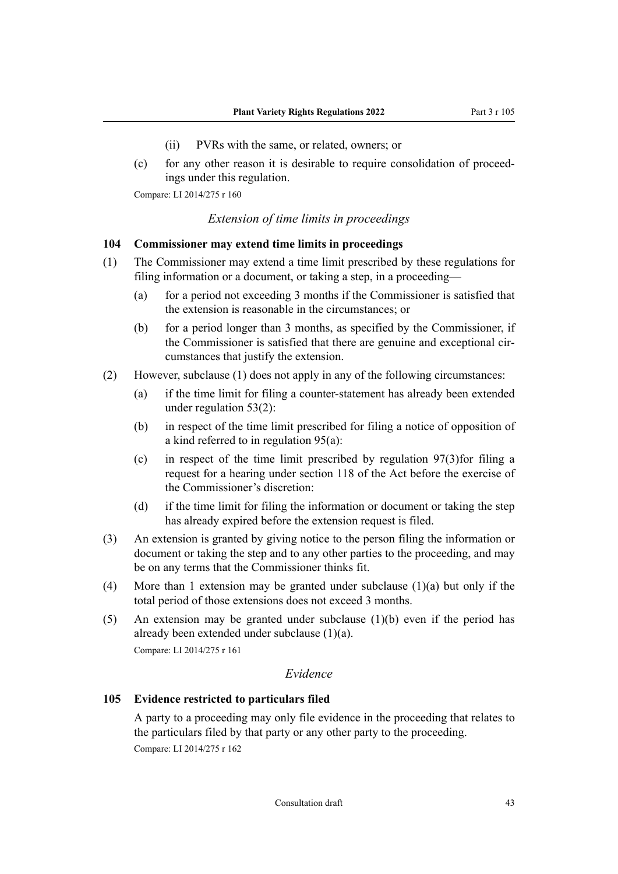- (ii) PVRs with the same, or related, owners; or
- <span id="page-42-0"></span>(c) for any other reason it is desirable to require consolidation of proceed‐ ings under this regulation.

#### *Extension of time limits in proceedings*

#### **104 Commissioner may extend time limits in proceedings**

- (1) The Commissioner may extend a time limit prescribed by these regulations for filing information or a document, or taking a step, in a proceeding—
	- (a) for a period not exceeding 3 months if the Commissioner is satisfied that the extension is reasonable in the circumstances; or
	- (b) for a period longer than 3 months, as specified by the Commissioner, if the Commissioner is satisfied that there are genuine and exceptional circumstances that justify the extension.
- (2) However, subclause (1) does not apply in any of the following circumstances:
	- (a) if the time limit for filing a counter-statement has already been extended under regulation 53(2):
	- (b) in respect of the time limit prescribed for filing a notice of opposition of a kind referred to in regulation 95(a):
	- (c) in respect of the time limit prescribed by regulation 97(3)for filing a request for a hearing under section 118 of the Act before the exercise of the Commissioner's discretion:
	- (d) if the time limit for filing the information or document or taking the step has already expired before the extension request is filed.
- (3) An extension is granted by giving notice to the person filing the information or document or taking the step and to any other parties to the proceeding, and may be on any terms that the Commissioner thinks fit.
- (4) More than 1 extension may be granted under subclause (1)(a) but only if the total period of those extensions does not exceed 3 months.
- (5) An extension may be granted under subclause (1)(b) even if the period has already been extended under subclause (1)(a).

Compare: LI 2014/275 r 161

#### *Evidence*

#### **105 Evidence restricted to particulars filed**

A party to a proceeding may only file evidence in the proceeding that relates to the particulars filed by that party or any other party to the proceeding. Compare: LI 2014/275 r 162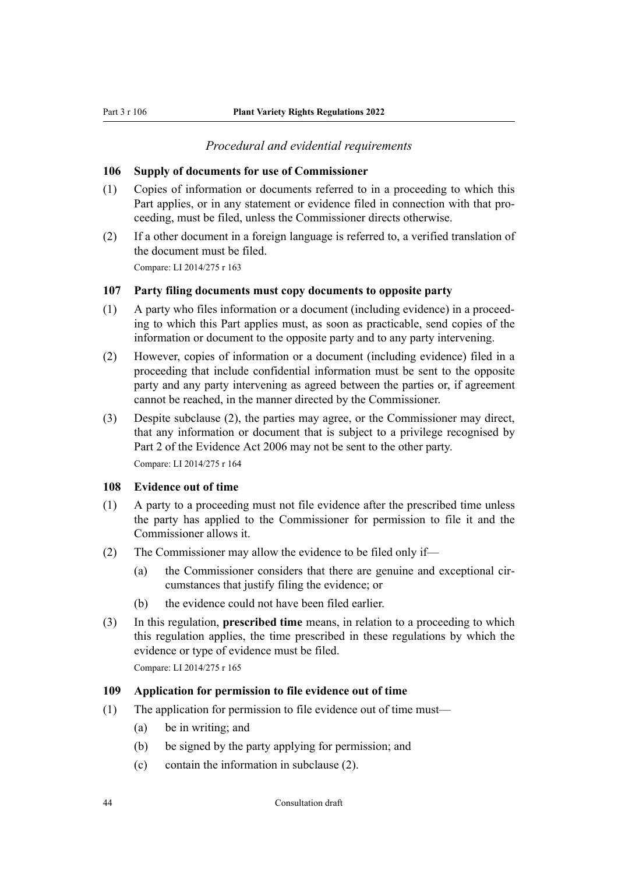#### *Procedural and evidential requirements*

#### <span id="page-43-0"></span>**106 Supply of documents for use of Commissioner**

- (1) Copies of information or documents referred to in a proceeding to which this Part applies, or in any statement or evidence filed in connection with that proceeding, must be filed, unless the Commissioner directs otherwise.
- (2) If a other document in a foreign language is referred to, a verified translation of the document must be filed.

Compare: LI 2014/275 r 163

#### **107 Party filing documents must copy documents to opposite party**

- (1) A party who files information or a document (including evidence) in a proceed‐ ing to which this Part applies must, as soon as practicable, send copies of the information or document to the opposite party and to any party intervening.
- (2) However, copies of information or a document (including evidence) filed in a proceeding that include confidential information must be sent to the opposite party and any party intervening as agreed between the parties or, if agreement cannot be reached, in the manner directed by the Commissioner.
- (3) Despite subclause (2), the parties may agree, or the Commissioner may direct, that any information or document that is subject to a privilege recognised by Part 2 of the Evidence Act 2006 may not be sent to the other party.

Compare: LI 2014/275 r 164

#### **108 Evidence out of time**

- (1) A party to a proceeding must not file evidence after the prescribed time unless the party has applied to the Commissioner for permission to file it and the Commissioner allows it.
- (2) The Commissioner may allow the evidence to be filed only if—
	- $(a)$  the Commissioner considers that there are genuine and exceptional circumstances that justify filing the evidence; or
	- (b) the evidence could not have been filed earlier.
- (3) In this regulation, **prescribed time** means, in relation to a proceeding to which this regulation applies, the time prescribed in these regulations by which the evidence or type of evidence must be filed.

Compare: LI 2014/275 r 165

#### **109 Application for permission to file evidence out of time**

- (1) The application for permission to file evidence out of time must—
	- (a) be in writing; and
	- (b) be signed by the party applying for permission; and
	- (c) contain the information in subclause (2).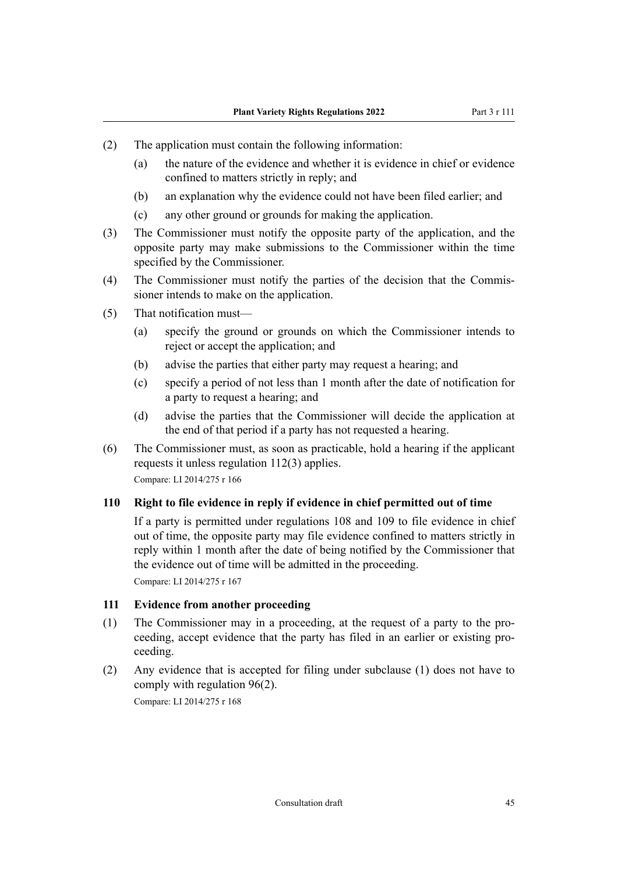- <span id="page-44-0"></span>(2) The application must contain the following information:
	- (a) the nature of the evidence and whether it is evidence in chief or evidence confined to matters strictly in reply; and
	- (b) an explanation why the evidence could not have been filed earlier; and
	- (c) any other ground or grounds for making the application.
- (3) The Commissioner must notify the opposite party of the application, and the opposite party may make submissions to the Commissioner within the time specified by the Commissioner.
- (4) The Commissioner must notify the parties of the decision that the Commis‐ sioner intends to make on the application.
- (5) That notification must—
	- (a) specify the ground or grounds on which the Commissioner intends to reject or accept the application; and
	- (b) advise the parties that either party may request a hearing; and
	- (c) specify a period of not less than 1 month after the date of notification for a party to request a hearing; and
	- (d) advise the parties that the Commissioner will decide the application at the end of that period if a party has not requested a hearing.
- (6) The Commissioner must, as soon as practicable, hold a hearing if the applicant requests it unless regulation 112(3) applies. Compare: LI 2014/275 r 166

#### **110 Right to file evidence in reply if evidence in chief permitted out of time**

If a party is permitted under regulations 108 and 109 to file evidence in chief out of time, the opposite party may file evidence confined to matters strictly in reply within 1 month after the date of being notified by the Commissioner that the evidence out of time will be admitted in the proceeding.

Compare: LI 2014/275 r 167

#### **111 Evidence from another proceeding**

- (1) The Commissioner may in a proceeding, at the request of a party to the pro‐ ceeding, accept evidence that the party has filed in an earlier or existing proceeding.
- (2) Any evidence that is accepted for filing under subclause (1) does not have to comply with regulation 96(2).

Compare: LI 2014/275 r 168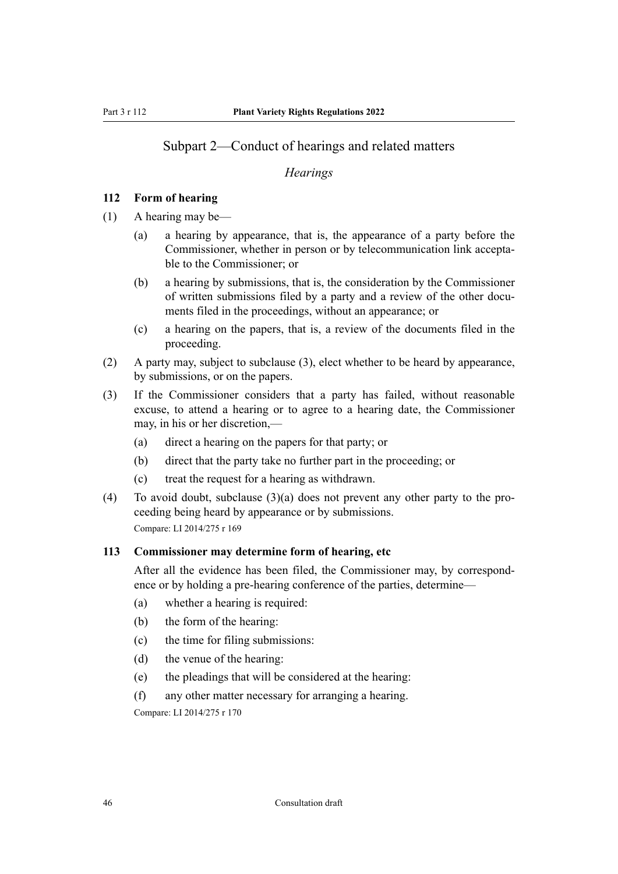# <span id="page-45-0"></span>Subpart 2—Conduct of hearings and related matters

#### *Hearings*

#### **112 Form of hearing**

- (1) A hearing may be—
	- (a) a hearing by appearance, that is, the appearance of a party before the Commissioner, whether in person or by telecommunication link accepta‐ ble to the Commissioner; or
	- (b) a hearing by submissions, that is, the consideration by the Commissioner of written submissions filed by a party and a review of the other documents filed in the proceedings, without an appearance; or
	- (c) a hearing on the papers, that is, a review of the documents filed in the proceeding.
- (2) A party may, subject to subclause (3), elect whether to be heard by appearance, by submissions, or on the papers.
- (3) If the Commissioner considers that a party has failed, without reasonable excuse, to attend a hearing or to agree to a hearing date, the Commissioner may, in his or her discretion,—
	- (a) direct a hearing on the papers for that party; or
	- (b) direct that the party take no further part in the proceeding; or
	- (c) treat the request for a hearing as withdrawn.
- (4) To avoid doubt, subclause  $(3)(a)$  does not prevent any other party to the proceeding being heard by appearance or by submissions. Compare: LI 2014/275 r 169

#### **113 Commissioner may determine form of hearing, etc**

After all the evidence has been filed, the Commissioner may, by correspondence or by holding a pre-hearing conference of the parties, determine—

- (a) whether a hearing is required:
- (b) the form of the hearing:
- (c) the time for filing submissions:
- (d) the venue of the hearing:
- (e) the pleadings that will be considered at the hearing:
- (f) any other matter necessary for arranging a hearing.

Compare: LI 2014/275 r 170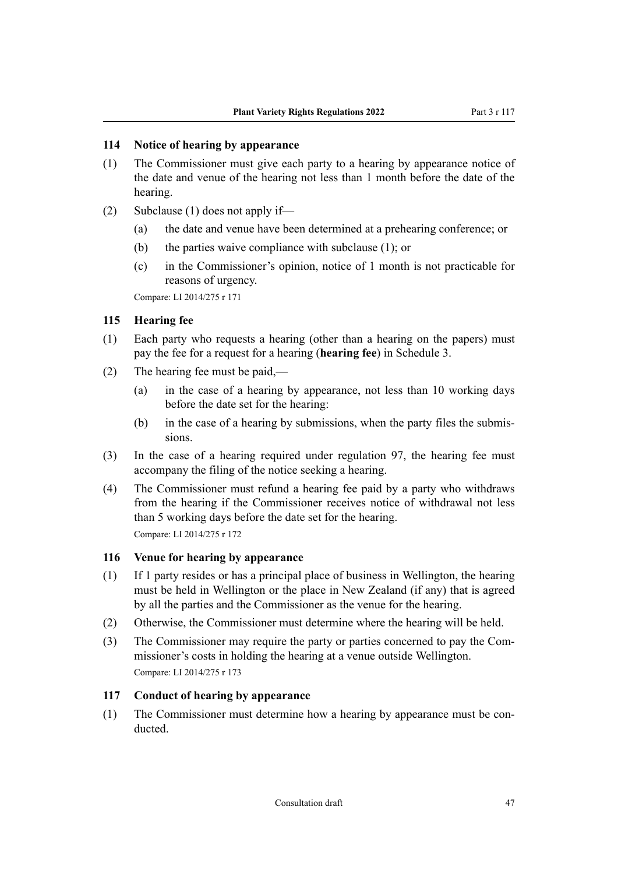#### <span id="page-46-0"></span>**114 Notice of hearing by appearance**

- (1) The Commissioner must give each party to a hearing by appearance notice of the date and venue of the hearing not less than 1 month before the date of the hearing.
- (2) Subclause (1) does not apply if—
	- (a) the date and venue have been determined at a prehearing conference; or
	- (b) the parties waive compliance with subclause (1); or
	- (c) in the Commissioner's opinion, notice of 1 month is not practicable for reasons of urgency.

Compare: LI 2014/275 r 171

#### **115 Hearing fee**

- (1) Each party who requests a hearing (other than a hearing on the papers) must pay the fee for a request for a hearing (**hearing fee**) in Schedule 3.
- (2) The hearing fee must be paid,—
	- (a) in the case of a hearing by appearance, not less than 10 working days before the date set for the hearing:
	- (b) in the case of a hearing by submissions, when the party files the submis‐ sions.
- (3) In the case of a hearing required under regulation 97, the hearing fee must accompany the filing of the notice seeking a hearing.
- (4) The Commissioner must refund a hearing fee paid by a party who withdraws from the hearing if the Commissioner receives notice of withdrawal not less than 5 working days before the date set for the hearing. Compare: LI 2014/275 r 172

#### **116 Venue for hearing by appearance**

- (1) If 1 party resides or has a principal place of business in Wellington, the hearing must be held in Wellington or the place in New Zealand (if any) that is agreed by all the parties and the Commissioner as the venue for the hearing.
- (2) Otherwise, the Commissioner must determine where the hearing will be held.
- (3) The Commissioner may require the party or parties concerned to pay the Com‐ missioner's costs in holding the hearing at a venue outside Wellington. Compare: LI 2014/275 r 173

#### **117 Conduct of hearing by appearance**

(1) The Commissioner must determine how a hearing by appearance must be conducted.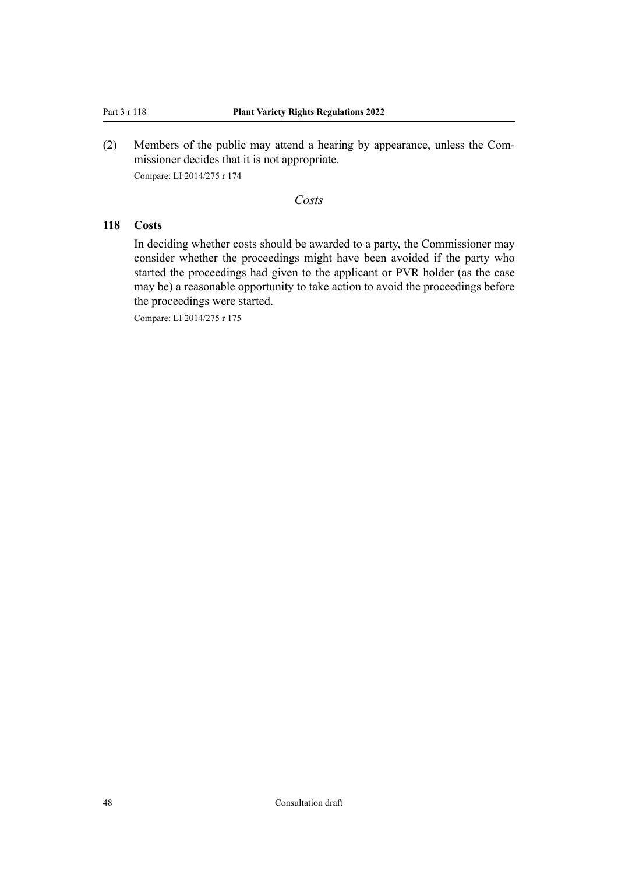<span id="page-47-0"></span>(2) Members of the public may attend a hearing by appearance, unless the Com‐ missioner decides that it is not appropriate. Compare: LI 2014/275 r 174

#### *Costs*

# **118 Costs**

In deciding whether costs should be awarded to a party, the Commissioner may consider whether the proceedings might have been avoided if the party who started the proceedings had given to the applicant or PVR holder (as the case may be) a reasonable opportunity to take action to avoid the proceedings before the proceedings were started.

Compare: LI 2014/275 r 175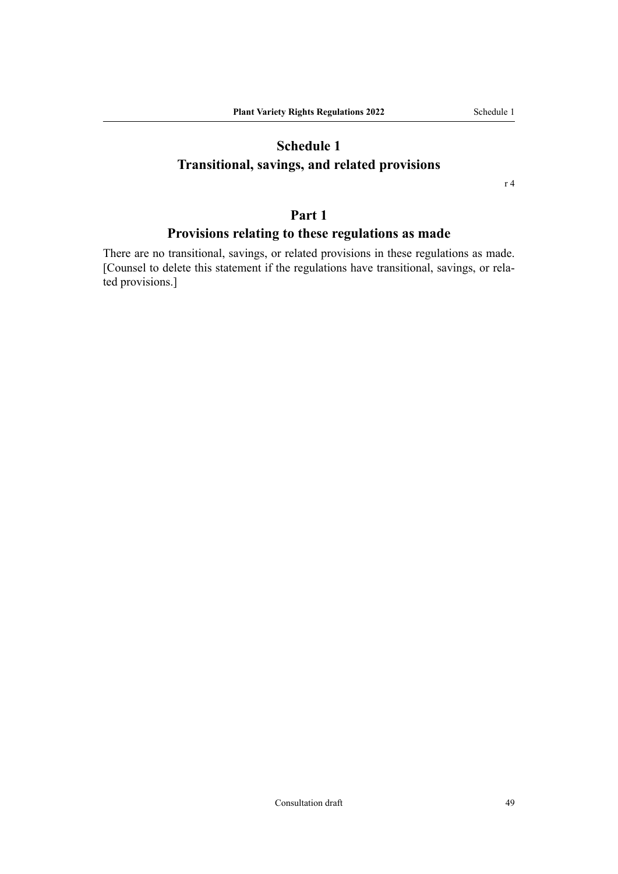# <span id="page-48-0"></span>**Schedule 1 Transitional, savings, and related provisions**

r 4

# **Part 1**

# **Provisions relating to these regulations as made**

There are no transitional, savings, or related provisions in these regulations as made. [Counsel to delete this statement if the regulations have transitional, savings, or related provisions.]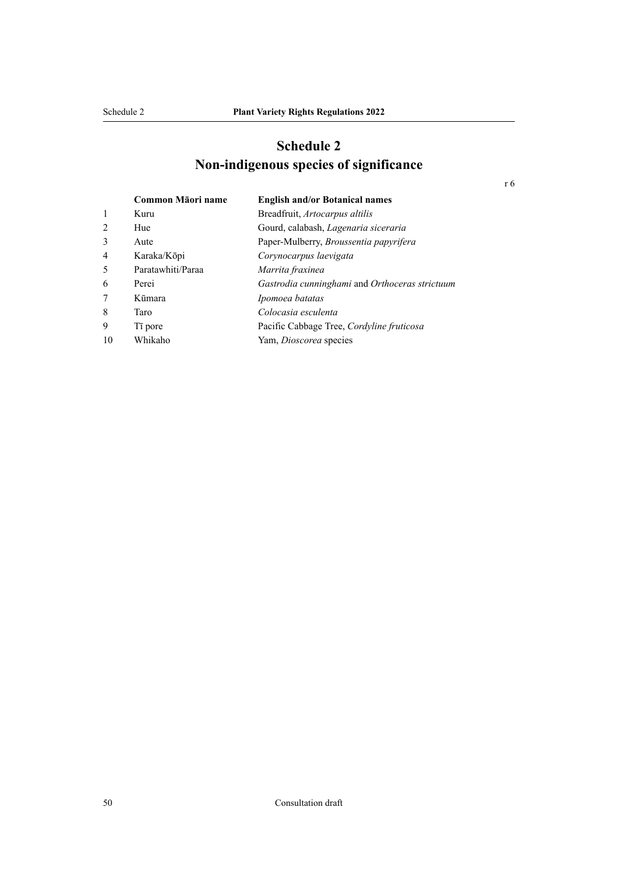# **Schedule 2 Non-indigenous species of significance**

<span id="page-49-0"></span>

|    | Common Māori name   | <b>English and/or Botanical names</b>          |
|----|---------------------|------------------------------------------------|
| 1  | Kuru                | Breadfruit, Artocarpus altilis                 |
| 2  | Hue                 | Gourd, calabash, Lagenaria siceraria           |
| 3  | Aute                | Paper-Mulberry, Broussentia papyrifera         |
| 4  | Karaka/Kōpi         | Corynocarpus laevigata                         |
| 5  | Paratawhiti/Paraa   | Marrita fraxinea                               |
| 6  | Perei               | Gastrodia cunninghami and Orthoceras strictuum |
| 7  | Kūmara              | Ipomoea batatas                                |
| 8  | Taro                | Colocasia esculenta                            |
| 9  | T <sub>i</sub> pore | Pacific Cabbage Tree, Cordyline fruticosa      |
| 10 | Whikaho             | Yam, Dioscorea species                         |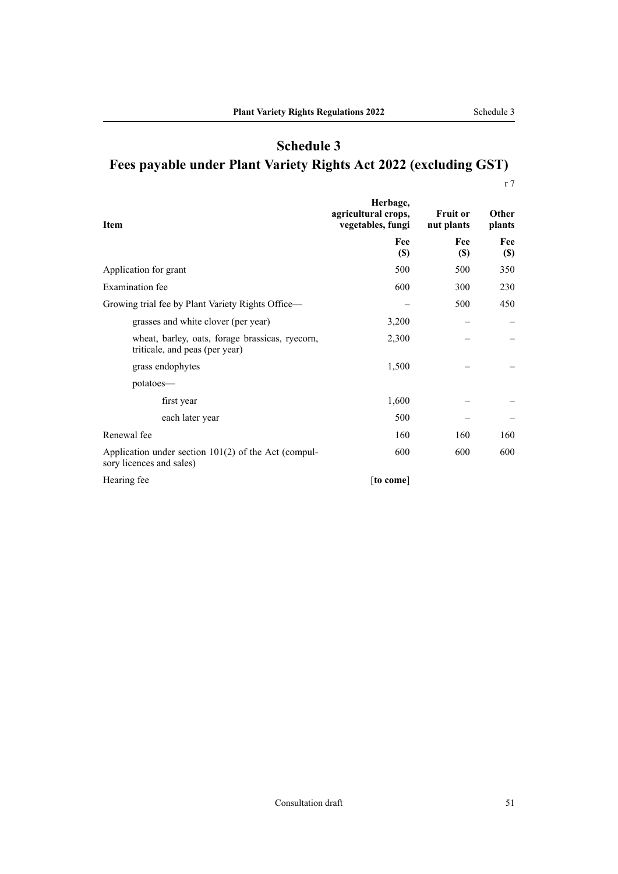r 7

<span id="page-50-0"></span>

| Item                                                                              | Herbage,<br>agricultural crops,<br>vegetables, fungi | <b>Fruit or</b><br>nut plants | <b>Other</b><br>plants |
|-----------------------------------------------------------------------------------|------------------------------------------------------|-------------------------------|------------------------|
|                                                                                   | Fee<br>$\left( \mathbb{S}\right)$                    | Fee<br><b>(\$)</b>            | Fee<br>$(\$)$          |
| Application for grant                                                             | 500                                                  | 500                           | 350                    |
| <b>Examination</b> fee                                                            | 600                                                  | 300                           | 230                    |
| Growing trial fee by Plant Variety Rights Office—                                 |                                                      | 500                           | 450                    |
| grasses and white clover (per year)                                               | 3,200                                                |                               |                        |
| wheat, barley, oats, forage brassicas, ryecorn,<br>triticale, and peas (per year) | 2,300                                                |                               |                        |
| grass endophytes                                                                  | 1,500                                                |                               |                        |
| potatoes-                                                                         |                                                      |                               |                        |
| first year                                                                        | 1,600                                                |                               |                        |
| each later year                                                                   | 500                                                  |                               |                        |
| Renewal fee                                                                       | 160                                                  | 160                           | 160                    |
| Application under section 101(2) of the Act (compul-<br>sory licences and sales)  | 600                                                  | 600                           | 600                    |
| Hearing fee                                                                       | [to come]                                            |                               |                        |